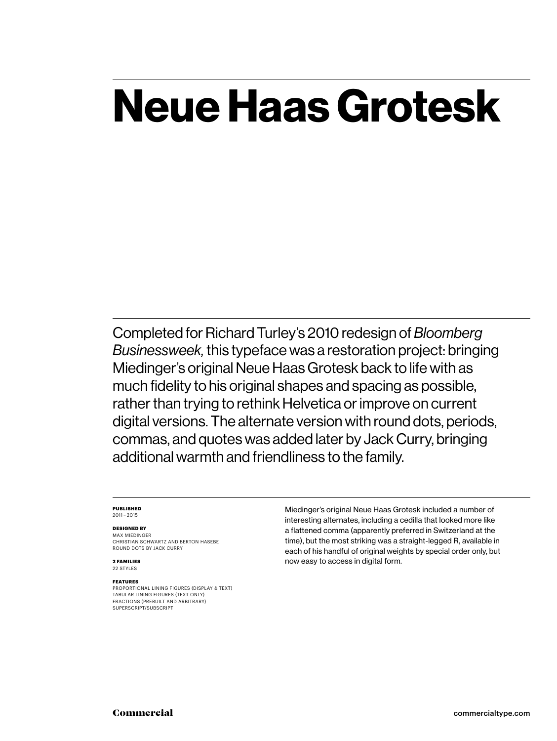### **Neue Haas Grotesk**

Completed for Richard Turley's 2010 redesign of *Bloomberg Businessweek,* this typeface was a restoration project: bringing Miedinger's original Neue Haas Grotesk back to life with as much fidelity to his original shapes and spacing as possible, rather than trying to rethink Helvetica or improve on current digital versions. The alternate version with round dots, periods, commas, and quotes was added later by Jack Curry, bringing additional warmth and friendliness to the family.

### **PUBLISHED** 2011 – 2015

### **DESIGNED BY**

MAX MIEDINGER CHRISTIAN SCHWARTZ AND BERTON HASEBE ROUND DOTS BY JACK CURRY

**2 FAMILIES** 22 STYLES

### **FEATURES**

PROPORTIONAL LINING FIGURES (DISPLAY & TEXT) TABULAR LINING FIGURES (TEXT ONLY) FRACTIONS (PREBUILT AND ARBITRARY) SUPERSCRIPT/SUBSCRIPT

Miedinger's original Neue Haas Grotesk included a number of interesting alternates, including a cedilla that looked more like a flattened comma (apparently preferred in Switzerland at the time), but the most striking was a straight-legged R, available in each of his handful of original weights by special order only, but now easy to access in digital form.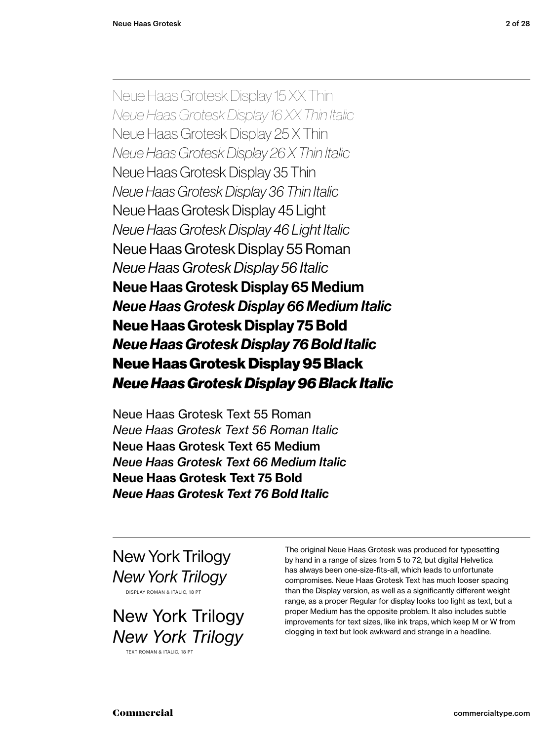Neue Haas Grotesk Display 15 XX Thin *Neue Haas Grotesk Display 16 XX Thin Italic* Neue Haas Grotesk Display 25 X Thin *Neue Haas Grotesk Display 26 X Thin Italic* Neue Haas Grotesk Display 35 Thin *Neue Haas Grotesk Display 36 Thin Italic* Neue Haas Grotesk Display 45 Light *Neue Haas Grotesk Display 46 Light Italic* Neue Haas Grotesk Display 55 Roman *Neue Haas Grotesk Display 56 Italic* Neue Haas Grotesk Display 65 Medium *Neue Haas Grotesk Display 66 Medium Italic* **Neue Haas Grotesk Display 75 Bold** *Neue Haas Grotesk Display 76 Bold Italic* Neue Haas Grotesk Display 95 Black *Neue Haas Grotesk Display 96 Black Italic*

Neue Haas Grotesk Text 55 Roman *Neue Haas Grotesk Text 56 Roman Italic* Neue Haas Grotesk Text 65 Medium *Neue Haas Grotesk Text 66 Medium Italic* **Neue Haas Grotesk Text 75 Bold** *Neue Haas Grotesk Text 76 Bold Italic*

New York Trilogy *New York Trilogy* DISPLAY ROMAN & ITALIC, 18 PT

New York Trilogy *New York Trilogy*

TEXT ROMAN & ITALIC, 18 PT

The original Neue Haas Grotesk was produced for typesetting by hand in a range of sizes from 5 to 72, but digital Helvetica has always been one-size-fits-all, which leads to unfortunate compromises. Neue Haas Grotesk Text has much looser spacing than the Display version, as well as a significantly different weight range, as a proper Regular for display looks too light as text, but a proper Medium has the opposite problem. It also includes subtle improvements for text sizes, like ink traps, which keep M or W from clogging in text but look awkward and strange in a headline.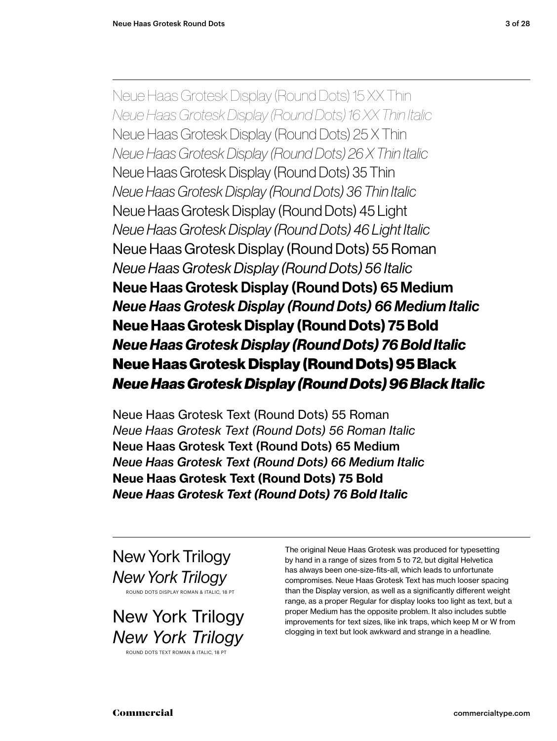Neue Haas Grotesk Display (Round Dots) 15 XX Thin *Neue Haas Grotesk Display (Round Dots) 16 XX Thin Italic* Neue Haas Grotesk Display (Round Dots) 25 X Thin *Neue Haas Grotesk Display (Round Dots) 26 X Thin Italic* Neue Haas Grotesk Display (Round Dots) 35 Thin *Neue Haas Grotesk Display (Round Dots) 36 Thin Italic* Neue Haas Grotesk Display (Round Dots) 45 Light *Neue Haas Grotesk Display (Round Dots) 46 Light Italic* Neue Haas Grotesk Display (Round Dots) 55 Roman *Neue Haas Grotesk Display (Round Dots) 56 Italic* Neue Haas Grotesk Display (Round Dots) 65 Medium *Neue Haas Grotesk Display (Round Dots) 66 Medium Italic* **Neue Haas Grotesk Display (Round Dots) 75 Bold** *Neue Haas Grotesk Display (Round Dots) 76 Bold Italic* Neue Haas Grotesk Display (Round Dots) 95 Black *Neue Haas Grotesk Display (Round Dots) 96 Black Italic*

Neue Haas Grotesk Text (Round Dots) 55 Roman *Neue Haas Grotesk Text (Round Dots) 56 Roman Italic* Neue Haas Grotesk Text (Round Dots) 65 Medium *Neue Haas Grotesk Text (Round Dots) 66 Medium Italic* **Neue Haas Grotesk Text (Round Dots) 75 Bold** *Neue Haas Grotesk Text (Round Dots) 76 Bold Italic*

New York Trilogy *New York Trilogy* ROUND DOTS DISPLAY ROMAN & ITALIC, 18 PT

New York Trilogy *New York Trilogy* ROUND DOTS TEXT ROMAN & ITALIC, 18 PT

The original Neue Haas Grotesk was produced for typesetting by hand in a range of sizes from 5 to 72, but digital Helvetica has always been one-size-fits-all, which leads to unfortunate compromises. Neue Haas Grotesk Text has much looser spacing than the Display version, as well as a significantly different weight range, as a proper Regular for display looks too light as text, but a proper Medium has the opposite problem. It also includes subtle improvements for text sizes, like ink traps, which keep M or W from clogging in text but look awkward and strange in a headline.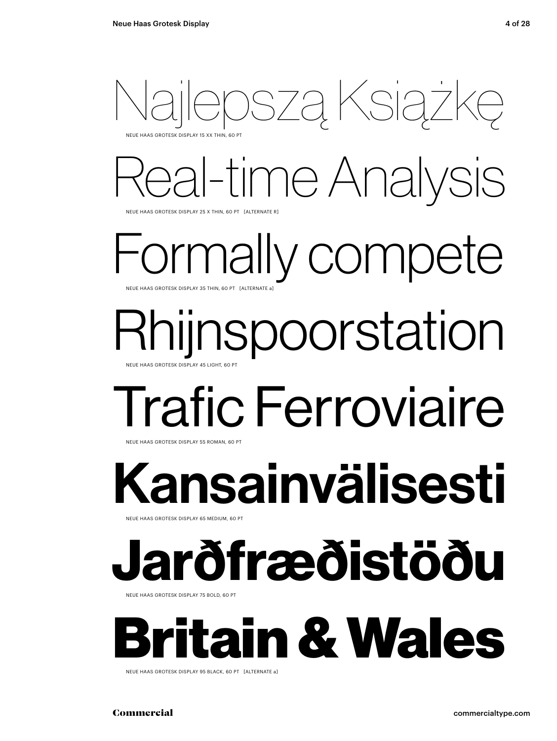

Real-time Analysis

NEUE HAAS GROTESK DISPLAY 25 X THIN, 60 PT [ALTERNATE R]

rmally compete NEUE HAAS GROTESK DISPLAY 35 THIN, 60 PT [ALTERNATE a

### Rhijnspoorstation NEUE HAAS GROTESK DISPLAY 45 LIGHT

# Trafic Ferroviaire

NEUE HAAS GROTESK DISPLAY 55 ROMAN, 60 PT

Kansainvälisesti

NEUE HAAS GROTESK DISPLAY 65 MEDIUM, 60 PT

### **Jarðfræðistöðu**

NEUE HAAS GROTESK DISPLAY 75 BOLD, 60 PT



NEUE HAAS GROTESK DISPLAY 95 BLACK, 60 PT [ALTERNATE a]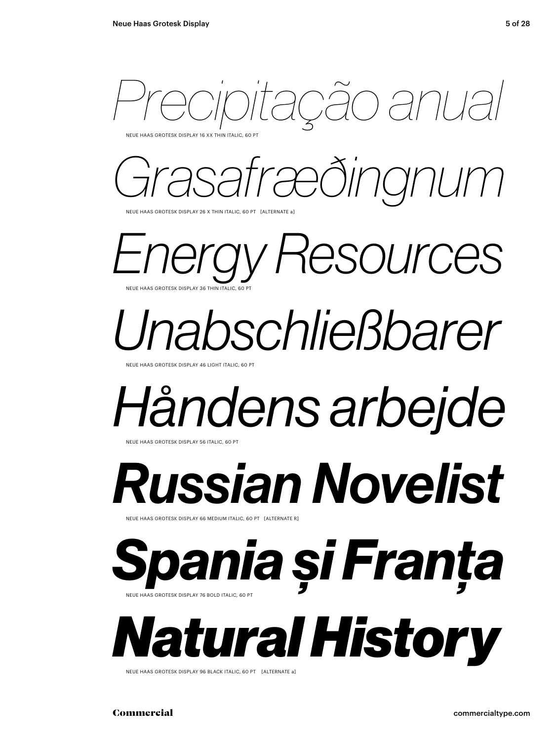*Precipitação anual* 

NEUE HAAS GROTESK DISPLAY 16 XX THIN ITALIC, 60 PT



NEUE HAAS GROTESK DISPLAY 26 X THIN ITALIC, 60 PT [ALTERNATE a]

*Energy Resources* NEUE HAAS GROTESK DISPLAY 36 THIN ITALIC, 60 PT

*Unabschließbarer*

NEUE HAAS GROTESK DISPLAY 46 LIGHT ITALIC, 60 PT

# *Håndens arbejde*

NEUE HAAS GROTESK DISPLAY 56 ITALIC, 60 P

*Russian Novelist*

NEUE HAAS GROTESK DISPLAY 66 MEDIUM ITALIC, 60 PT [ALTERNATE R]

*Spania și Franța* NEUE HAAS GROTESK DISPLAY 76 BOLD ITALIC, 60 PT

*Natural History*

NEUE HAAS GROTESK DISPLAY 96 BLACK ITALIC, 60 PT [ALTERNATE a]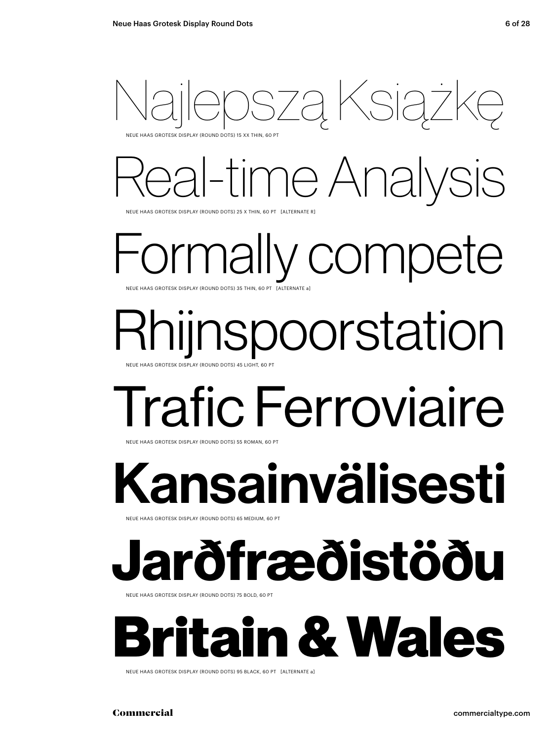

### me Analysis

NEUE HAAS GROTESK DISPLAY (ROUND DOTS) 25 X THIN, 60 PT [ALTERNATE R]

mally compete NEUE HAAS GROTESK DISPLAY (ROUND DOTS) 35 THIN, 60 PT

# Rhijnspoorstation

NEUE HAAS GROTESK DISPLAY (ROUND DOTS) 45 LIGHT, 60 PT

### Trafic Ferroviaire

NEUE HAAS GROTESK DISPLAY (ROUND DOTS) 55 ROMAN, 60 PT

### Kansainvälisesti

NEUE HAAS GROTESK DISPLAY (ROUND DOTS) 65 MEDIUM, 60 PT

### **Jarðfræðistöðu**

NEUE HAAS GROTESK DISPLAY (ROUND DOTS) 75 BOLD, 60 PT



NEUE HAAS GROTESK DISPLAY (ROUND DOTS) 95 BLACK, 60 PT [ALTERNATE a]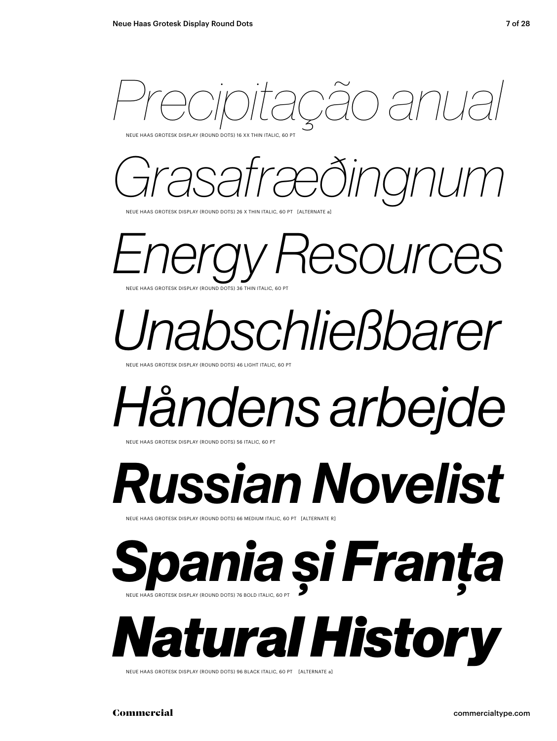

NEUE HAAS GROTESK DISPLAY (ROUND DOTS) 16 XX THIN ITALIC, 60 PT

*Grasafræðingnum*

NEUE HAAS GROTESK DISPLAY (ROUND DOTS) 26 X THIN ITALIC, 60 PT [ALTERNATE a]

*Energy Resources* NEUE HAAS GROTESK DISPLAY (ROUND DOTS) 3

*Unabschließbarer*

NEUE HAAS GROTESK DISPLAY (ROUND DOTS) 46 LIGHT ITALIC, 60 PT

NEUE HAAS GROTESK DISPLAY (ROUND DOTS) 56 ITALIC, 60

*Håndens arbejde*

*Russian Novelist*

NEUE HAAS GROTESK DISPLAY (ROUND DOTS) 66 MEDIUM ITALIC, 60 PT [ALTERNATE R]

NEUE HAAS GROTESK DISPLAY (ROUND DOTS) 76 BOLD ITALIC, 60 PT *Spania și Franța*

*Natural History*

NEUE HAAS GROTESK DISPLAY (ROUND DOTS) 96 BLACK ITALIC, 60 PT [ALTERNATE a]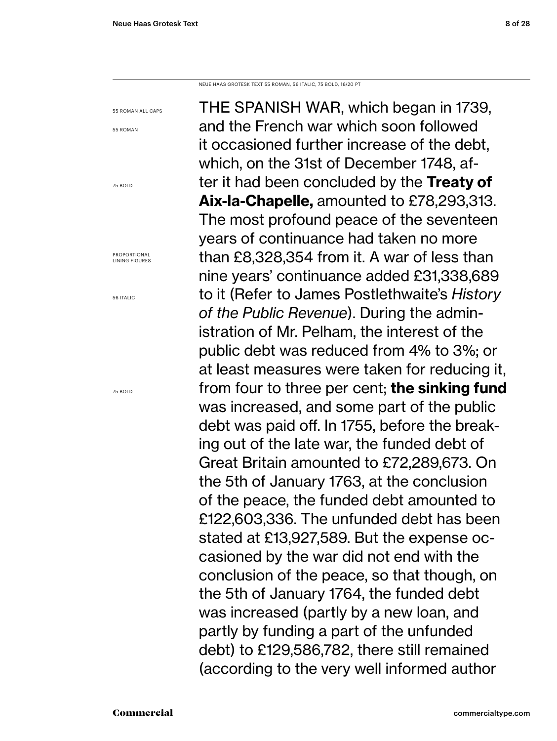NEUE HAAS GROTESK TEXT 55 ROMAN, 56 ITALIC, 75 BOLD, 16/20 PT

55 ROMAN ALL CAPS

55 ROMAN

75 BOLD

PROPORTIONAL LINING FIGURES

56 ITALIC

75 BOLD

THE SPANISH WAR, which began in 1739, and the French war which soon followed it occasioned further increase of the debt, which, on the 31st of December 1748, after it had been concluded by the **Treaty of Aix-la-Chapelle,** amounted to £78,293,313. The most profound peace of the seventeen years of continuance had taken no more than £8,328,354 from it. A war of less than nine years' continuance added £31,338,689 to it (Refer to James Postlethwaite's *History of the Public Revenue*). During the administration of Mr. Pelham, the interest of the public debt was reduced from 4% to 3%; or at least measures were taken for reducing it, from four to three per cent; **the sinking fund** was increased, and some part of the public debt was paid off. In 1755, before the breaking out of the late war, the funded debt of Great Britain amounted to £72,289,673. On the 5th of January 1763, at the conclusion of the peace, the funded debt amounted to £122,603,336. The unfunded debt has been stated at £13,927,589. But the expense occasioned by the war did not end with the conclusion of the peace, so that though, on the 5th of January 1764, the funded debt was increased (partly by a new loan, and partly by funding a part of the unfunded debt) to £129,586,782, there still remained (according to the very well informed author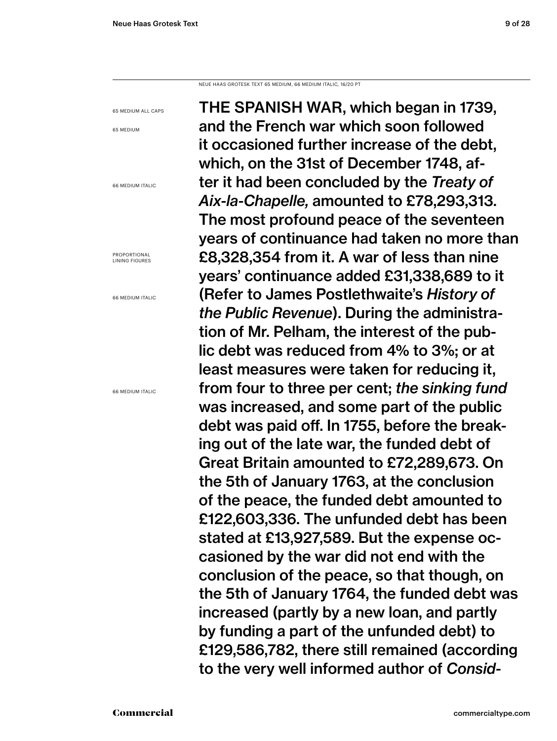NEUE HAAS GROTESK TEXT 65 MEDIUM, 66 MEDIUM ITALIC, 16/20 PT

65 MEDIUM ALL CAPS

65 MEDIUM

66 MEDIUM ITALIC

PROPORTIONAL LINING FIGURES

66 MEDIUM ITALIC

66 MEDIUM ITALIC

THE SPANISH WAR, which began in 1739, and the French war which soon followed it occasioned further increase of the debt, which, on the 31st of December 1748, after it had been concluded by the *Treaty of Aix-la-Chapelle,* amounted to £78,293,313. The most profound peace of the seventeen years of continuance had taken no more than £8,328,354 from it. A war of less than nine years' continuance added £31,338,689 to it (Refer to James Postlethwaite's *History of the Public Revenue*). During the administration of Mr. Pelham, the interest of the public debt was reduced from 4% to 3%; or at least measures were taken for reducing it, from four to three per cent; *the sinking fund* was increased, and some part of the public debt was paid off. In 1755, before the breaking out of the late war, the funded debt of Great Britain amounted to £72,289,673. On the 5th of January 1763, at the conclusion of the peace, the funded debt amounted to £122,603,336. The unfunded debt has been stated at £13,927,589. But the expense occasioned by the war did not end with the conclusion of the peace, so that though, on the 5th of January 1764, the funded debt was increased (partly by a new loan, and partly by funding a part of the unfunded debt) to £129,586,782, there still remained (according to the very well informed author of *Consid-*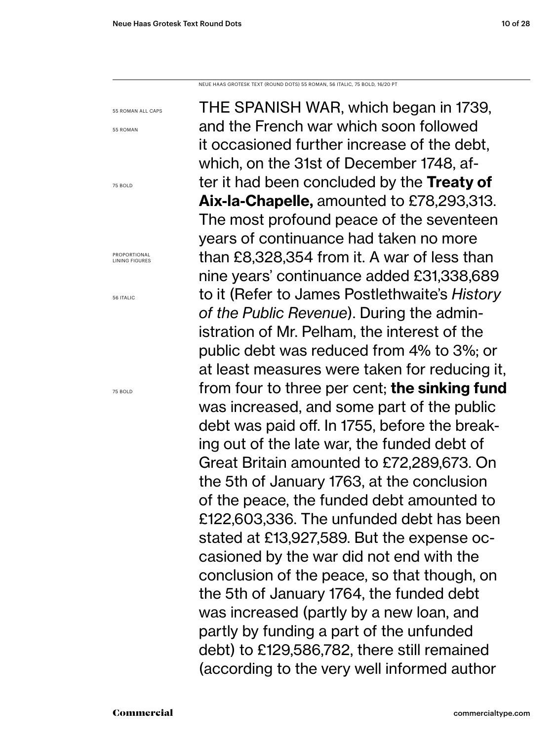NEUE HAAS GROTESK TEXT (ROUND DOTS) 55 ROMAN, 56 ITALIC, 75 BOLD, 16/20 PT

55 ROMAN ALL CAPS

55 ROMAN

75 BOLD

PROPORTIONAL LINING FIGURES

56 ITALIC

75 BOLD

THE SPANISH WAR, which began in 1739, and the French war which soon followed it occasioned further increase of the debt, which, on the 31st of December 1748, after it had been concluded by the **Treaty of Aix-la-Chapelle,** amounted to £78,293,313. The most profound peace of the seventeen years of continuance had taken no more than £8,328,354 from it. A war of less than nine years' continuance added £31,338,689 to it (Refer to James Postlethwaite's *History of the Public Revenue*). During the administration of Mr. Pelham, the interest of the public debt was reduced from 4% to 3%; or at least measures were taken for reducing it, from four to three per cent; **the sinking fund** was increased, and some part of the public debt was paid off. In 1755, before the breaking out of the late war, the funded debt of Great Britain amounted to £72,289,673. On the 5th of January 1763, at the conclusion of the peace, the funded debt amounted to £122,603,336. The unfunded debt has been stated at £13,927,589. But the expense occasioned by the war did not end with the conclusion of the peace, so that though, on the 5th of January 1764, the funded debt was increased (partly by a new loan, and partly by funding a part of the unfunded debt) to £129,586,782, there still remained (according to the very well informed author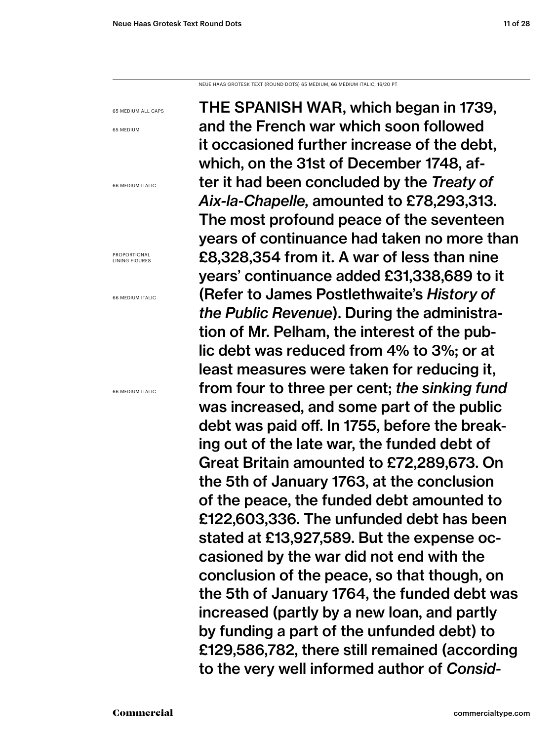NEUE HAAS GROTESK TEXT (ROUND DOTS) 65 MEDIUM, 66 MEDIUM ITALIC, 16/20 PT

65 MEDIUM ALL CAPS

65 MEDIUM

66 MEDIUM ITALIC

PROPORTIONAL LINING FIGURES

66 MEDIUM ITALIC

66 MEDIUM ITALIC

THE SPANISH WAR, which began in 1739, and the French war which soon followed it occasioned further increase of the debt, which, on the 31st of December 1748, after it had been concluded by the *Treaty of Aix-la-Chapelle,* amounted to £78,293,313. The most profound peace of the seventeen years of continuance had taken no more than £8,328,354 from it. A war of less than nine years' continuance added £31,338,689 to it (Refer to James Postlethwaite's *History of the Public Revenue*). During the administration of Mr. Pelham, the interest of the public debt was reduced from 4% to 3%; or at least measures were taken for reducing it, from four to three per cent; *the sinking fund* was increased, and some part of the public debt was paid off. In 1755, before the breaking out of the late war, the funded debt of Great Britain amounted to £72,289,673. On the 5th of January 1763, at the conclusion of the peace, the funded debt amounted to £122,603,336. The unfunded debt has been stated at £13,927,589. But the expense occasioned by the war did not end with the conclusion of the peace, so that though, on the 5th of January 1764, the funded debt was increased (partly by a new loan, and partly by funding a part of the unfunded debt) to £129,586,782, there still remained (according to the very well informed author of *Consid-*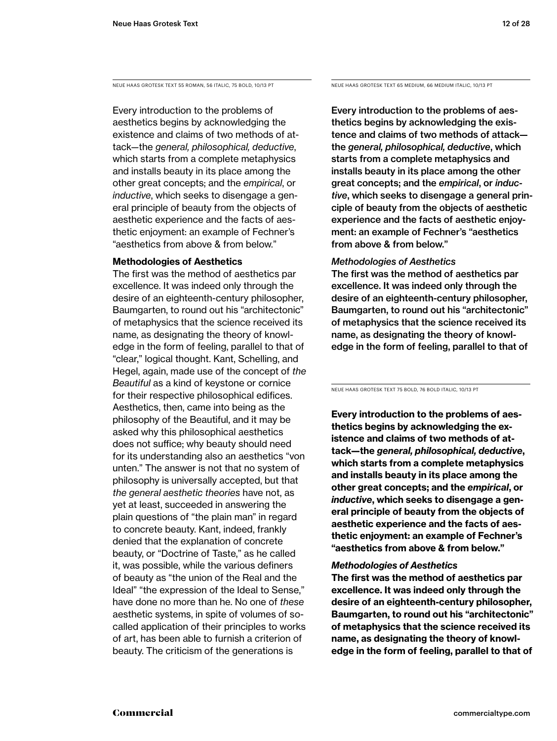Every introduction to the problems of aesthetics begins by acknowledging the existence and claims of two methods of attack—the *general, philosophical, deductive*, which starts from a complete metaphysics and installs beauty in its place among the other great concepts; and the *empirical*, or *inductive*, which seeks to disengage a general principle of beauty from the objects of aesthetic experience and the facts of aesthetic enjoyment: an example of Fechner's "aesthetics from above & from below."

### **Methodologies of Aesthetics**

The first was the method of aesthetics par excellence. It was indeed only through the desire of an eighteenth-century philosopher, Baumgarten, to round out his "architectonic" of metaphysics that the science received its name, as designating the theory of knowledge in the form of feeling, parallel to that of "clear," logical thought. Kant, Schelling, and Hegel, again, made use of the concept of *the Beautiful* as a kind of keystone or cornice for their respective philosophical edifices. Aesthetics, then, came into being as the philosophy of the Beautiful, and it may be asked why this philosophical aesthetics does not suffice; why beauty should need for its understanding also an aesthetics "von unten." The answer is not that no system of philosophy is universally accepted, but that *the general aesthetic theories* have not, as yet at least, succeeded in answering the plain questions of "the plain man" in regard to concrete beauty. Kant, indeed, frankly denied that the explanation of concrete beauty, or "Doctrine of Taste," as he called it, was possible, while the various definers of beauty as "the union of the Real and the Ideal" "the expression of the Ideal to Sense," have done no more than he. No one of *these* aesthetic systems, in spite of volumes of socalled application of their principles to works of art, has been able to furnish a criterion of beauty. The criticism of the generations is

NEUE HAAS GROTESK TEXT 55 ROMAN, 56 ITALIC, 75 BOLD, 10/13 PT NEUE HAAS GROTESK TEXT 65 MEDIUM, 66 MEDIUM ITALIC, 10/13 PT

Every introduction to the problems of aesthetics begins by acknowledging the existence and claims of two methods of attack the *general, philosophical, deductive*, which starts from a complete metaphysics and installs beauty in its place among the other great concepts; and the *empirical*, or *inductive*, which seeks to disengage a general principle of beauty from the objects of aesthetic experience and the facts of aesthetic enjoyment: an example of Fechner's "aesthetics from above & from below."

### *Methodologies of Aesthetics*

The first was the method of aesthetics par excellence. It was indeed only through the desire of an eighteenth-century philosopher, Baumgarten, to round out his "architectonic" of metaphysics that the science received its name, as designating the theory of knowledge in the form of feeling, parallel to that of

NEUE HAAS GROTESK TEXT 75 BOLD, 76 BOLD ITALIC, 10/13 PT

**Every introduction to the problems of aesthetics begins by acknowledging the existence and claims of two methods of attack—the** *general, philosophical, deductive***, which starts from a complete metaphysics and installs beauty in its place among the other great concepts; and the** *empirical***, or**  *inductive***, which seeks to disengage a general principle of beauty from the objects of aesthetic experience and the facts of aesthetic enjoyment: an example of Fechner's "aesthetics from above & from below."** 

### *Methodologies of Aesthetics*

**The first was the method of aesthetics par excellence. It was indeed only through the desire of an eighteenth-century philosopher, Baumgarten, to round out his "architectonic" of metaphysics that the science received its name, as designating the theory of knowledge in the form of feeling, parallel to that of**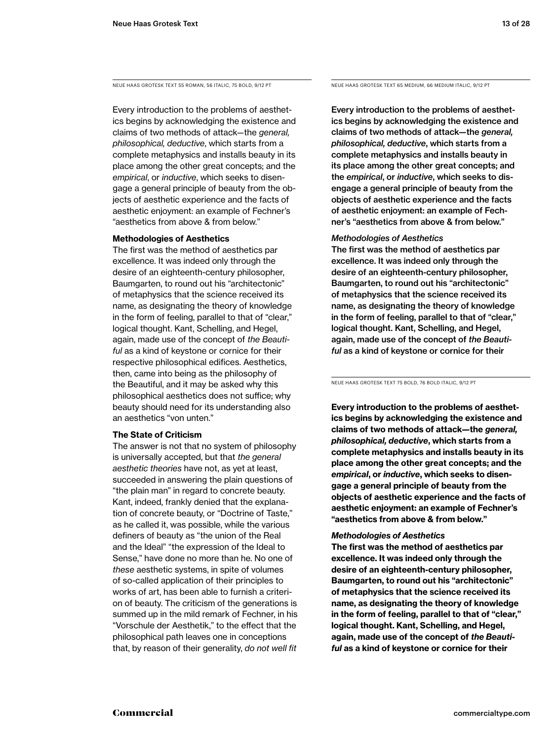NEUE HAAS GROTESK TEXT 55 ROMAN, 56 ITALIC, 75 BOLD, 9/12 PT NEUE HAAS GROTESK TEXT 65 MEDIUM, 66 MEDIUM ITALIC, 9/12 PT

Every introduction to the problems of aesthetics begins by acknowledging the existence and claims of two methods of attack—the *general, philosophical, deductive*, which starts from a complete metaphysics and installs beauty in its place among the other great concepts; and the *empirical*, or *inductive*, which seeks to disengage a general principle of beauty from the objects of aesthetic experience and the facts of aesthetic enjoyment: an example of Fechner's "aesthetics from above & from below."

### **Methodologies of Aesthetics**

The first was the method of aesthetics par excellence. It was indeed only through the desire of an eighteenth-century philosopher, Baumgarten, to round out his "architectonic" of metaphysics that the science received its name, as designating the theory of knowledge in the form of feeling, parallel to that of "clear," logical thought. Kant, Schelling, and Hegel, again, made use of the concept of *the Beautiful* as a kind of keystone or cornice for their respective philosophical edifices. Aesthetics, then, came into being as the philosophy of the Beautiful, and it may be asked why this philosophical aesthetics does not suffice; why beauty should need for its understanding also an aesthetics "von unten."

### **The State of Criticism**

The answer is not that no system of philosophy is universally accepted, but that *the general aesthetic theories* have not, as yet at least, succeeded in answering the plain questions of "the plain man" in regard to concrete beauty. Kant, indeed, frankly denied that the explanation of concrete beauty, or "Doctrine of Taste," as he called it, was possible, while the various definers of beauty as "the union of the Real and the Ideal" "the expression of the Ideal to Sense," have done no more than he. No one of *these* aesthetic systems, in spite of volumes of so-called application of their principles to works of art, has been able to furnish a criterion of beauty. The criticism of the generations is summed up in the mild remark of Fechner, in his "Vorschule der Aesthetik," to the effect that the philosophical path leaves one in conceptions that, by reason of their generality, *do not well fit* 

Every introduction to the problems of aesthetics begins by acknowledging the existence and claims of two methods of attack—the *general, philosophical, deductive*, which starts from a complete metaphysics and installs beauty in its place among the other great concepts; and the *empirical*, or *inductive*, which seeks to disengage a general principle of beauty from the objects of aesthetic experience and the facts of aesthetic enjoyment: an example of Fechner's "aesthetics from above & from below."

### *Methodologies of Aesthetics*

The first was the method of aesthetics par excellence. It was indeed only through the desire of an eighteenth-century philosopher, Baumgarten, to round out his "architectonic" of metaphysics that the science received its name, as designating the theory of knowledge in the form of feeling, parallel to that of "clear," logical thought. Kant, Schelling, and Hegel, again, made use of the concept of *the Beautiful* as a kind of keystone or cornice for their

NEUE HAAS GROTESK TEXT 75 BOLD, 76 BOLD ITALIC, 9/12 PT

**Every introduction to the problems of aesthetics begins by acknowledging the existence and claims of two methods of attack—the** *general, philosophical, deductive***, which starts from a complete metaphysics and installs beauty in its place among the other great concepts; and the**  *empirical***, or** *inductive***, which seeks to disengage a general principle of beauty from the objects of aesthetic experience and the facts of aesthetic enjoyment: an example of Fechner's "aesthetics from above & from below."** 

### *Methodologies of Aesthetics*

**The first was the method of aesthetics par excellence. It was indeed only through the desire of an eighteenth-century philosopher, Baumgarten, to round out his "architectonic" of metaphysics that the science received its name, as designating the theory of knowledge in the form of feeling, parallel to that of "clear," logical thought. Kant, Schelling, and Hegel, again, made use of the concept of** *the Beautiful* **as a kind of keystone or cornice for their**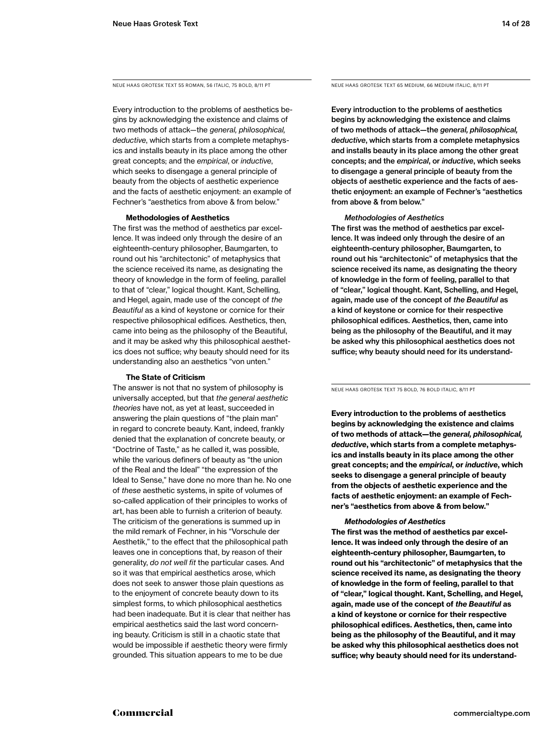Every introduction to the problems of aesthetics begins by acknowledging the existence and claims of two methods of attack—the *general, philosophical, deductive*, which starts from a complete metaphysics and installs beauty in its place among the other great concepts; and the *empirical*, or *inductive*, which seeks to disengage a general principle of beauty from the objects of aesthetic experience and the facts of aesthetic enjoyment: an example of Fechner's "aesthetics from above & from below."

### **Methodologies of Aesthetics**

The first was the method of aesthetics par excellence. It was indeed only through the desire of an eighteenth-century philosopher, Baumgarten, to round out his "architectonic" of metaphysics that the science received its name, as designating the theory of knowledge in the form of feeling, parallel to that of "clear," logical thought. Kant, Schelling, and Hegel, again, made use of the concept of *the Beautiful* as a kind of keystone or cornice for their respective philosophical edifices. Aesthetics, then, came into being as the philosophy of the Beautiful, and it may be asked why this philosophical aesthetics does not suffice; why beauty should need for its understanding also an aesthetics "von unten."

### **The State of Criticism**

The answer is not that no system of philosophy is universally accepted, but that *the general aesthetic theories* have not, as yet at least, succeeded in answering the plain questions of "the plain man" in regard to concrete beauty. Kant, indeed, frankly denied that the explanation of concrete beauty, or "Doctrine of Taste," as he called it, was possible, while the various definers of beauty as "the union of the Real and the Ideal" "the expression of the Ideal to Sense," have done no more than he. No one of *these* aesthetic systems, in spite of volumes of so-called application of their principles to works of art, has been able to furnish a criterion of beauty. The criticism of the generations is summed up in the mild remark of Fechner, in his "Vorschule der Aesthetik," to the effect that the philosophical path leaves one in conceptions that, by reason of their generality, *do not well fit* the particular cases. And so it was that empirical aesthetics arose, which does not seek to answer those plain questions as to the enjoyment of concrete beauty down to its simplest forms, to which philosophical aesthetics had been inadequate. But it is clear that neither has empirical aesthetics said the last word concerning beauty. Criticism is still in a chaotic state that would be impossible if aesthetic theory were firmly grounded. This situation appears to me to be due

NEUE HAAS GROTESK TEXT 55 ROMAN, 56 ITALIC, 75 BOLD, 8/11 PT NEUE HAAS GROTESK TEXT 65 MEDIUM, 66 MEDIUM ITALIC, 8/11 PT

Every introduction to the problems of aesthetics begins by acknowledging the existence and claims of two methods of attack—the *general, philosophical, deductive*, which starts from a complete metaphysics and installs beauty in its place among the other great concepts; and the *empirical*, or *inductive*, which seeks to disengage a general principle of beauty from the objects of aesthetic experience and the facts of aesthetic enjoyment: an example of Fechner's "aesthetics from above & from below."

### *Methodologies of Aesthetics*

The first was the method of aesthetics par excellence. It was indeed only through the desire of an eighteenth-century philosopher, Baumgarten, to round out his "architectonic" of metaphysics that the science received its name, as designating the theory of knowledge in the form of feeling, parallel to that of "clear," logical thought. Kant, Schelling, and Hegel, again, made use of the concept of *the Beautiful* as a kind of keystone or cornice for their respective philosophical edifices. Aesthetics, then, came into being as the philosophy of the Beautiful, and it may be asked why this philosophical aesthetics does not suffice; why beauty should need for its understand-

NEUE HAAS GROTESK TEXT 75 BOLD, 76 BOLD ITALIC, 8/11 PT

**Every introduction to the problems of aesthetics begins by acknowledging the existence and claims of two methods of attack—the** *general, philosophical, deductive***, which starts from a complete metaphysics and installs beauty in its place among the other great concepts; and the** *empirical***, or** *inductive***, which seeks to disengage a general principle of beauty from the objects of aesthetic experience and the facts of aesthetic enjoyment: an example of Fechner's "aesthetics from above & from below."** 

### *Methodologies of Aesthetics*

**The first was the method of aesthetics par excellence. It was indeed only through the desire of an eighteenth-century philosopher, Baumgarten, to round out his "architectonic" of metaphysics that the science received its name, as designating the theory of knowledge in the form of feeling, parallel to that of "clear," logical thought. Kant, Schelling, and Hegel, again, made use of the concept of** *the Beautiful* **as a kind of keystone or cornice for their respective philosophical edifices. Aesthetics, then, came into being as the philosophy of the Beautiful, and it may be asked why this philosophical aesthetics does not suffice; why beauty should need for its understand-**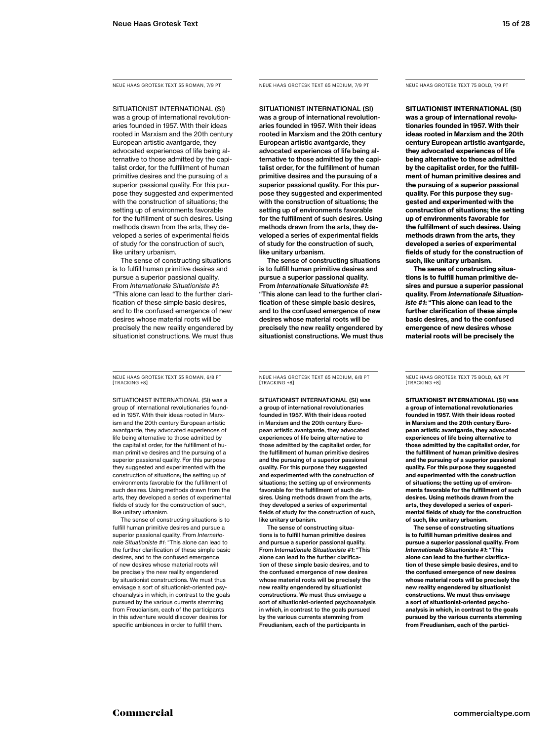NEUE HAAS GROTESK TEXT 55 ROMAN, 7/9 PT

SITUATIONIST INTERNATIONAL (SI) was a group of international revolutionaries founded in 1957. With their ideas rooted in Marxism and the 20th century European artistic avantgarde, they advocated experiences of life being alternative to those admitted by the capitalist order, for the fulfillment of human primitive desires and the pursuing of a superior passional quality. For this purpose they suggested and experimented with the construction of situations; the setting up of environments favorable for the fulfillment of such desires. Using methods drawn from the arts, they developed a series of experimental fields of study for the construction of such, like unitary urbanism.

The sense of constructing situations is to fulfill human primitive desires and pursue a superior passional quality. From *Internationale Situationiste #1*: "This alone can lead to the further clarification of these simple basic desires, and to the confused emergence of new desires whose material roots will be precisely the new reality engendered by situationist constructions. We must thus

NEUE HAAS GROTESK TEXT 55 ROMAN, 6/8 PT [TRACKING +8]

SITUATIONIST INTERNATIONAL (SI) was a group of international revolutionaries founded in 1957. With their ideas rooted in Marxism and the 20th century European artistic avantgarde, they advocated experiences of life being alternative to those admitted by the capitalist order, for the fulfillment of human primitive desires and the pursuing of a superior passional quality. For this purpose they suggested and experimented with the construction of situations; the setting up of environments favorable for the fulfillment of such desires. Using methods drawn from the arts, they developed a series of experimental fields of study for the construction of such, like unitary urbanism.

The sense of constructing situations is to fulfill human primitive desires and pursue a superior passional quality. From *Internationale Situationiste #1*: "This alone can lead to the further clarification of these simple basic desires, and to the confused emergence of new desires whose material roots will be precisely the new reality engendered by situationist constructions. We must thus envisage a sort of situationist-oriented psychoanalysis in which, in contrast to the goals pursued by the various currents stemming from Freudianism, each of the participants in this adventure would discover desires for specific ambiences in order to fulfill them.

NEUE HAAS GROTESK TEXT 65 MEDIUM, 7/9 PT

SITUATIONIST INTERNATIONAL (SI) was a group of international revolutionaries founded in 1957. With their ideas rooted in Marxism and the 20th century European artistic avantgarde, they advocated experiences of life being alternative to those admitted by the capitalist order, for the fulfillment of human primitive desires and the pursuing of a superior passional quality. For this purpose they suggested and experimented with the construction of situations; the setting up of environments favorable for the fulfillment of such desires. Using methods drawn from the arts, they developed a series of experimental fields of study for the construction of such, like unitary urbanism.

The sense of constructing situations is to fulfill human primitive desires and pursue a superior passional quality. From *Internationale Situationiste #1*: "This alone can lead to the further clarification of these simple basic desires, and to the confused emergence of new desires whose material roots will be precisely the new reality engendered by situationist constructions. We must thus NEUE HAAS GROTESK TEXT 75 BOLD, 7/9 PT

**SITUATIONIST INTERNATIONAL (SI) was a group of international revolutionaries founded in 1957. With their ideas rooted in Marxism and the 20th century European artistic avantgarde, they advocated experiences of life being alternative to those admitted by the capitalist order, for the fulfillment of human primitive desires and the pursuing of a superior passional quality. For this purpose they suggested and experimented with the construction of situations; the setting up of environments favorable for the fulfillment of such desires. Using methods drawn from the arts, they developed a series of experimental fields of study for the construction of such, like unitary urbanism.**

**The sense of constructing situations is to fulfill human primitive desires and pursue a superior passional quality. From** *Internationale Situationiste #1***: "This alone can lead to the further clarification of these simple basic desires, and to the confused emergence of new desires whose material roots will be precisely the** 

NEUE HAAS GROTESK TEXT 65 MEDIUM, 6/8 PT [TRACKING +8]

SITUATIONIST INTERNATIONAL (SI) was a group of international revolutionaries founded in 1957. With their ideas rooted in Marxism and the 20th century European artistic avantgarde, they advocated experiences of life being alternative to those admitted by the capitalist order, for the fulfillment of human primitive desires and the pursuing of a superior passional quality. For this purpose they suggested and experimented with the construction of situations; the setting up of environments favorable for the fulfillment of such desires. Using methods drawn from the arts, they developed a series of experimental fields of study for the construction of such, like unitary urbanism.

The sense of constructing situations is to fulfill human primitive desires and pursue a superior passional quality. From *Internationale Situationiste #1*: "This alone can lead to the further clarification of these simple basic desires, and to the confused emergence of new desire whose material roots will be precisely the new reality engendered by situationist constructions. We must thus envisage a sort of situationist-oriented psychoanalysis in which, in contrast to the goals pursued by the various currents stemming from Freudianism, each of the participants in

NEUE HAAS GROTESK TEXT 75 BOLD, 6/8 PT [TRACKING +8]

**SITUATIONIST INTERNATIONAL (SI) was a group of international revolutionaries founded in 1957. With their ideas rooted in Marxism and the 20th century European artistic avantgarde, they advocated experiences of life being alternative to those admitted by the capitalist order, for the fulfillment of human primitive desires and the pursuing of a superior passional quality. For this purpose they suggested and experimented with the construction of situations; the setting up of environments favorable for the fulfillment of such desires. Using methods drawn from the arts, they developed a series of experimental fields of study for the construction of such, like unitary urbanism.**

**The sense of constructing situations is to fulfill human primitive desires and pursue a superior passional quality. From**  *Internationale Situationiste #1***: "This alone can lead to the further clarification of these simple basic desires, and to the confused emergence of new desires whose material roots will be precisely the new reality engendered by situationist constructions. We must thus envisage a sort of situationist-oriented psychoanalysis in which, in contrast to the goals pursued by the various currents stemming from Freudianism, each of the partici-**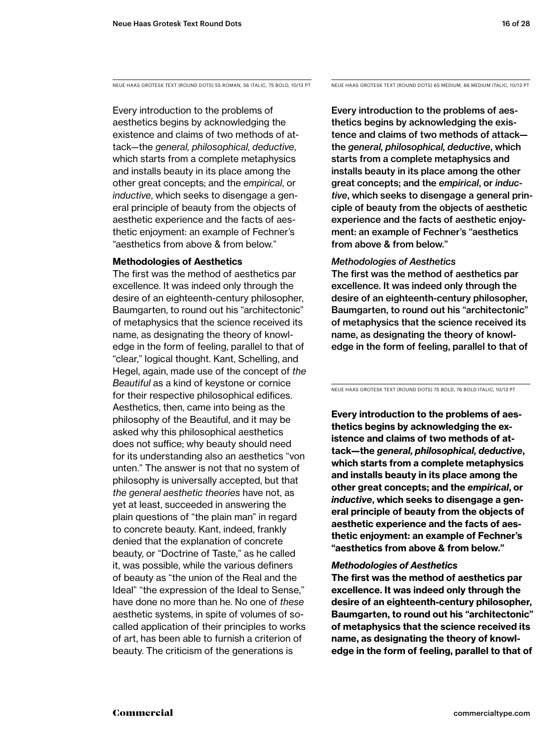NEUE HAAS GROTESK TEXT (ROUND DOTS) 55 ROMAN, 56 ITALIC, 75 BOLD, 10/13 PT NEUE HAAS GROTESK TEXT (ROUND DOTS) 65 MEDIUM, 66 MEDIUM ITALIC, 10/13 PT

Every introduction to the problems of aesthetics begins by acknowledging the existence and claims of two methods of attack—the *general, philosophical, deductive*, which starts from a complete metaphysics and installs beauty in its place among the other great concepts; and the *empirical*, or *inductive*, which seeks to disengage a general principle of beauty from the objects of aesthetic experience and the facts of aesthetic enjoyment: an example of Fechner's "aesthetics from above & from below."

### **Methodologies of Aesthetics**

The first was the method of aesthetics par excellence. It was indeed only through the desire of an eighteenth-century philosopher, Baumgarten, to round out his "architectonic" of metaphysics that the science received its name, as designating the theory of knowledge in the form of feeling, parallel to that of "clear," logical thought. Kant, Schelling, and Hegel, again, made use of the concept of *the Beautiful* as a kind of keystone or cornice for their respective philosophical edifices. Aesthetics, then, came into being as the philosophy of the Beautiful, and it may be asked why this philosophical aesthetics does not suffice; why beauty should need for its understanding also an aesthetics "von unten." The answer is not that no system of philosophy is universally accepted, but that *the general aesthetic theories* have not, as yet at least, succeeded in answering the plain questions of "the plain man" in regard to concrete beauty. Kant, indeed, frankly denied that the explanation of concrete beauty, or "Doctrine of Taste," as he called it, was possible, while the various definers of beauty as "the union of the Real and the Ideal" "the expression of the Ideal to Sense," have done no more than he. No one of *these* aesthetic systems, in spite of volumes of socalled application of their principles to works of art, has been able to furnish a criterion of beauty. The criticism of the generations is

Every introduction to the problems of aesthetics begins by acknowledging the existence and claims of two methods of attack the *general, philosophical, deductive*, which starts from a complete metaphysics and installs beauty in its place among the other great concepts; and the *empirical*, or *inductive*, which seeks to disengage a general principle of beauty from the objects of aesthetic experience and the facts of aesthetic enjoyment: an example of Fechner's "aesthetics from above & from below."

### *Methodologies of Aesthetics*

The first was the method of aesthetics par excellence. It was indeed only through the desire of an eighteenth-century philosopher, Baumgarten, to round out his "architectonic" of metaphysics that the science received its name, as designating the theory of knowledge in the form of feeling, parallel to that of

NEUE HAAS GROTESK TEXT (ROUND DOTS) 75 BOLD, 76 BOLD ITALIC, 10/13 PT

**Every introduction to the problems of aesthetics begins by acknowledging the existence and claims of two methods of attack—the** *general, philosophical, deductive***, which starts from a complete metaphysics and installs beauty in its place among the other great concepts; and the** *empirical***, or**  *inductive***, which seeks to disengage a general principle of beauty from the objects of aesthetic experience and the facts of aesthetic enjoyment: an example of Fechner's "aesthetics from above & from below."** 

### *Methodologies of Aesthetics*

**The first was the method of aesthetics par excellence. It was indeed only through the desire of an eighteenth-century philosopher, Baumgarten, to round out his "architectonic" of metaphysics that the science received its name, as designating the theory of knowledge in the form of feeling, parallel to that of**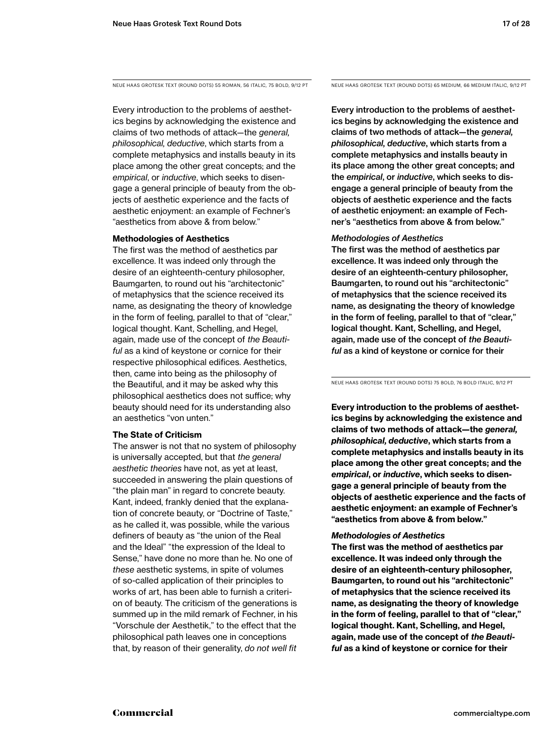NEUE HAAS GROTESK TEXT (ROUND DOTS) 55 ROMAN, 56 ITALIC, 75 BOLD, 9/12 PT NEUE HAAS GROTESK TEXT (ROUND DOTS) 65 MEDIUM, 66 MEDIUM ITALIC, 9/12 PT

Every introduction to the problems of aesthetics begins by acknowledging the existence and claims of two methods of attack—the *general, philosophical, deductive*, which starts from a complete metaphysics and installs beauty in its place among the other great concepts; and the *empirical*, or *inductive*, which seeks to disengage a general principle of beauty from the objects of aesthetic experience and the facts of aesthetic enjoyment: an example of Fechner's "aesthetics from above & from below."

### **Methodologies of Aesthetics**

The first was the method of aesthetics par excellence. It was indeed only through the desire of an eighteenth-century philosopher, Baumgarten, to round out his "architectonic" of metaphysics that the science received its name, as designating the theory of knowledge in the form of feeling, parallel to that of "clear," logical thought. Kant, Schelling, and Hegel, again, made use of the concept of *the Beautiful* as a kind of keystone or cornice for their respective philosophical edifices. Aesthetics, then, came into being as the philosophy of the Beautiful, and it may be asked why this philosophical aesthetics does not suffice; why beauty should need for its understanding also an aesthetics "von unten."

### **The State of Criticism**

The answer is not that no system of philosophy is universally accepted, but that *the general aesthetic theories* have not, as yet at least, succeeded in answering the plain questions of "the plain man" in regard to concrete beauty. Kant, indeed, frankly denied that the explanation of concrete beauty, or "Doctrine of Taste," as he called it, was possible, while the various definers of beauty as "the union of the Real and the Ideal" "the expression of the Ideal to Sense," have done no more than he. No one of *these* aesthetic systems, in spite of volumes of so-called application of their principles to works of art, has been able to furnish a criterion of beauty. The criticism of the generations is summed up in the mild remark of Fechner, in his "Vorschule der Aesthetik," to the effect that the philosophical path leaves one in conceptions that, by reason of their generality, *do not well fit* 

Every introduction to the problems of aesthetics begins by acknowledging the existence and claims of two methods of attack—the *general, philosophical, deductive*, which starts from a complete metaphysics and installs beauty in its place among the other great concepts; and the *empirical*, or *inductive*, which seeks to disengage a general principle of beauty from the objects of aesthetic experience and the facts of aesthetic enjoyment: an example of Fechner's "aesthetics from above & from below."

### *Methodologies of Aesthetics*

The first was the method of aesthetics par excellence. It was indeed only through the desire of an eighteenth-century philosopher, Baumgarten, to round out his "architectonic" of metaphysics that the science received its name, as designating the theory of knowledge in the form of feeling, parallel to that of "clear," logical thought. Kant, Schelling, and Hegel, again, made use of the concept of *the Beautiful* as a kind of keystone or cornice for their

NEUE HAAS GROTESK TEXT (ROUND DOTS) 75 BOLD, 76 BOLD ITALIC, 9/12 PT

**Every introduction to the problems of aesthetics begins by acknowledging the existence and claims of two methods of attack—the** *general, philosophical, deductive***, which starts from a complete metaphysics and installs beauty in its place among the other great concepts; and the**  *empirical***, or** *inductive***, which seeks to disengage a general principle of beauty from the objects of aesthetic experience and the facts of aesthetic enjoyment: an example of Fechner's "aesthetics from above & from below."** 

### *Methodologies of Aesthetics*

**The first was the method of aesthetics par excellence. It was indeed only through the desire of an eighteenth-century philosopher, Baumgarten, to round out his "architectonic" of metaphysics that the science received its name, as designating the theory of knowledge in the form of feeling, parallel to that of "clear," logical thought. Kant, Schelling, and Hegel, again, made use of the concept of** *the Beautiful* **as a kind of keystone or cornice for their**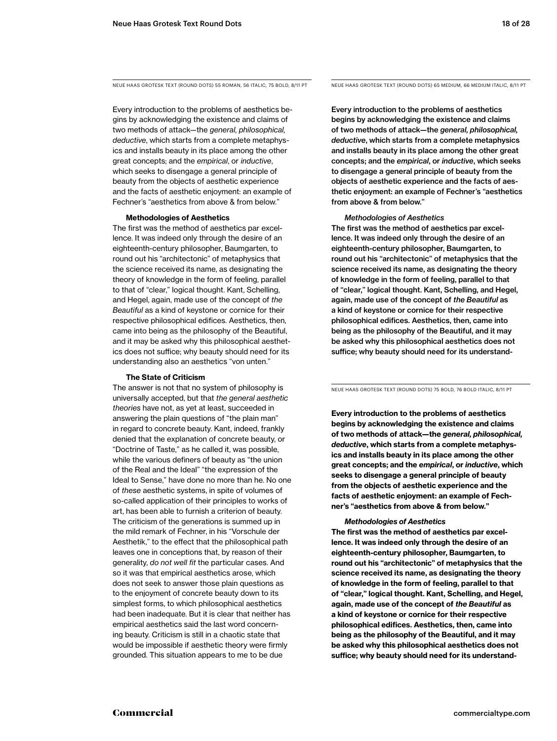Every introduction to the problems of aesthetics begins by acknowledging the existence and claims of two methods of attack—the *general, philosophical, deductive*, which starts from a complete metaphysics and installs beauty in its place among the other great concepts; and the *empirical*, or *inductive*, which seeks to disengage a general principle of beauty from the objects of aesthetic experience and the facts of aesthetic enjoyment: an example of Fechner's "aesthetics from above & from below."

### **Methodologies of Aesthetics**

The first was the method of aesthetics par excellence. It was indeed only through the desire of an eighteenth-century philosopher, Baumgarten, to round out his "architectonic" of metaphysics that the science received its name, as designating the theory of knowledge in the form of feeling, parallel to that of "clear," logical thought. Kant, Schelling, and Hegel, again, made use of the concept of *the Beautiful* as a kind of keystone or cornice for their respective philosophical edifices. Aesthetics, then, came into being as the philosophy of the Beautiful, and it may be asked why this philosophical aesthetics does not suffice; why beauty should need for its understanding also an aesthetics "von unten."

### **The State of Criticism**

The answer is not that no system of philosophy is universally accepted, but that *the general aesthetic theories* have not, as yet at least, succeeded in answering the plain questions of "the plain man" in regard to concrete beauty. Kant, indeed, frankly denied that the explanation of concrete beauty, or "Doctrine of Taste," as he called it, was possible, while the various definers of beauty as "the union of the Real and the Ideal" "the expression of the Ideal to Sense," have done no more than he. No one of *these* aesthetic systems, in spite of volumes of so-called application of their principles to works of art, has been able to furnish a criterion of beauty. The criticism of the generations is summed up in the mild remark of Fechner, in his "Vorschule der Aesthetik," to the effect that the philosophical path leaves one in conceptions that, by reason of their generality, *do not well fit* the particular cases. And so it was that empirical aesthetics arose, which does not seek to answer those plain questions as to the enjoyment of concrete beauty down to its simplest forms, to which philosophical aesthetics had been inadequate. But it is clear that neither has empirical aesthetics said the last word concerning beauty. Criticism is still in a chaotic state that would be impossible if aesthetic theory were firmly grounded. This situation appears to me to be due

NEUE HAAS GROTESK TEXT (ROUND DOTS) 55 ROMAN, 56 ITALIC, 75 BOLD, 8/11 PT NEUE HAAS GROTESK TEXT (ROUND DOTS) 65 MEDIUM, 66 MEDIUM ITALIC, 8/11 PT

Every introduction to the problems of aesthetics begins by acknowledging the existence and claims of two methods of attack—the *general, philosophical, deductive*, which starts from a complete metaphysics and installs beauty in its place among the other great concepts; and the *empirical*, or *inductive*, which seeks to disengage a general principle of beauty from the objects of aesthetic experience and the facts of aesthetic enjoyment: an example of Fechner's "aesthetics from above & from below."

### *Methodologies of Aesthetics*

The first was the method of aesthetics par excellence. It was indeed only through the desire of an eighteenth-century philosopher, Baumgarten, to round out his "architectonic" of metaphysics that the science received its name, as designating the theory of knowledge in the form of feeling, parallel to that of "clear," logical thought. Kant, Schelling, and Hegel, again, made use of the concept of *the Beautiful* as a kind of keystone or cornice for their respective philosophical edifices. Aesthetics, then, came into being as the philosophy of the Beautiful, and it may be asked why this philosophical aesthetics does not suffice; why beauty should need for its understand-

NEUE HAAS GROTESK TEXT (ROUND DOTS) 75 BOLD, 76 BOLD ITALIC, 8/11 PT

**Every introduction to the problems of aesthetics begins by acknowledging the existence and claims of two methods of attack—the** *general, philosophical, deductive***, which starts from a complete metaphysics and installs beauty in its place among the other great concepts; and the** *empirical***, or** *inductive***, which seeks to disengage a general principle of beauty from the objects of aesthetic experience and the facts of aesthetic enjoyment: an example of Fechner's "aesthetics from above & from below."** 

### *Methodologies of Aesthetics*

**The first was the method of aesthetics par excellence. It was indeed only through the desire of an eighteenth-century philosopher, Baumgarten, to round out his "architectonic" of metaphysics that the science received its name, as designating the theory of knowledge in the form of feeling, parallel to that of "clear," logical thought. Kant, Schelling, and Hegel, again, made use of the concept of** *the Beautiful* **as a kind of keystone or cornice for their respective philosophical edifices. Aesthetics, then, came into being as the philosophy of the Beautiful, and it may be asked why this philosophical aesthetics does not suffice; why beauty should need for its understand-**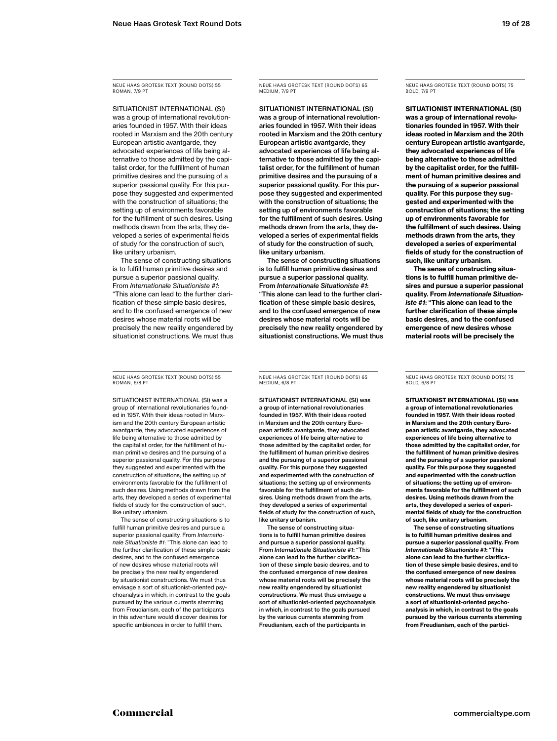NEUE HAAS GROTESK TEXT (ROUND DOTS) 55 ROMAN, 7/9 P

SITUATIONIST INTERNATIONAL (SI) was a group of international revolutionaries founded in 1957. With their ideas rooted in Marxism and the 20th century European artistic avantgarde, they advocated experiences of life being alternative to those admitted by the capitalist order, for the fulfillment of human primitive desires and the pursuing of a superior passional quality. For this purpose they suggested and experimented with the construction of situations; the setting up of environments favorable for the fulfillment of such desires. Using methods drawn from the arts, they developed a series of experimental fields of study for the construction of such, like unitary urbanism.

The sense of constructing situations is to fulfill human primitive desires and pursue a superior passional quality. From *Internationale Situationiste #1*: "This alone can lead to the further clarification of these simple basic desires, and to the confused emergence of new desires whose material roots will be precisely the new reality engendered by situationist constructions. We must thus

NEUE HAAS GROTESK TEXT (ROUND DOTS) 55 **ROMAN, 6/8 PT** 

SITUATIONIST INTERNATIONAL (SI) was a group of international revolutionaries founded in 1957. With their ideas rooted in Marxism and the 20th century European artistic avantgarde, they advocated experiences of life being alternative to those admitted by the capitalist order, for the fulfillment of human primitive desires and the pursuing of a superior passional quality. For this purpose they suggested and experimented with the construction of situations; the setting up of environments favorable for the fulfillment of such desires. Using methods drawn from the arts, they developed a series of experimental fields of study for the construction of such, like unitary urbanism.

The sense of constructing situations is to fulfill human primitive desires and pursue a superior passional quality. From *Internationale Situationiste #1*: "This alone can lead to the further clarification of these simple basic desires, and to the confused emergence of new desires whose material roots will be precisely the new reality engendered by situationist constructions. We must thus envisage a sort of situationist-oriented psychoanalysis in which, in contrast to the goals pursued by the various currents stemming from Freudianism, each of the participants in this adventure would discover desires for specific ambiences in order to fulfill them.

NEUE HAAS GROTESK TEXT (ROUND DOTS) 65 MEDIUM, 7/9 P

SITUATIONIST INTERNATIONAL (SI) was a group of international revolutionaries founded in 1957. With their ideas rooted in Marxism and the 20th century European artistic avantgarde, they advocated experiences of life being alternative to those admitted by the capitalist order, for the fulfillment of human primitive desires and the pursuing of a superior passional quality. For this purpose they suggested and experimented with the construction of situations; the setting up of environments favorable for the fulfillment of such desires. Using methods drawn from the arts, they developed a series of experimental fields of study for the construction of such, like unitary urbanism.

The sense of constructing situations is to fulfill human primitive desires and pursue a superior passional quality. From *Internationale Situationiste #1*: "This alone can lead to the further clarification of these simple basic desires, and to the confused emergence of new desires whose material roots will be precisely the new reality engendered by situationist constructions. We must thus NEUE HAAS GROTESK TEXT (ROUND DOTS) 75 **BOLD, 7/9 PT** 

**SITUATIONIST INTERNATIONAL (SI) was a group of international revolutionaries founded in 1957. With their ideas rooted in Marxism and the 20th century European artistic avantgarde, they advocated experiences of life being alternative to those admitted by the capitalist order, for the fulfillment of human primitive desires and the pursuing of a superior passional quality. For this purpose they suggested and experimented with the construction of situations; the setting up of environments favorable for the fulfillment of such desires. Using methods drawn from the arts, they developed a series of experimental fields of study for the construction of such, like unitary urbanism.**

**The sense of constructing situations is to fulfill human primitive desires and pursue a superior passional quality. From** *Internationale Situationiste #1***: "This alone can lead to the further clarification of these simple basic desires, and to the confused emergence of new desires whose material roots will be precisely the** 

NEUE HAAS GROTESK TEXT (ROUND DOTS) 65 MEDIUM, 6/8 PT

SITUATIONIST INTERNATIONAL (SI) was a group of international revolutionaries founded in 1957. With their ideas rooted in Marxism and the 20th century European artistic avantgarde, they advocated experiences of life being alternative to those admitted by the capitalist order, for the fulfillment of human primitive desires and the pursuing of a superior passional quality. For this purpose they suggested and experimented with the construction of situations; the setting up of environments favorable for the fulfillment of such desires. Using methods drawn from the arts, they developed a series of experimental fields of study for the construction of such, like unitary urbanism.

The sense of constructing situations is to fulfill human primitive desires and pursue a superior passional quality. From *Internationale Situationiste #1*: "This alone can lead to the further clarification of these simple basic desires, and to the confused emergence of new desire whose material roots will be precisely the new reality engendered by situationist constructions. We must thus envisage a sort of situationist-oriented psychoanalysis in which, in contrast to the goals pursued by the various currents stemming from Freudianism, each of the participants in

NEUE HAAS GROTESK TEXT (ROUND DOTS) 75 BOLD, 6/8 P

**SITUATIONIST INTERNATIONAL (SI) was a group of international revolutionaries founded in 1957. With their ideas rooted in Marxism and the 20th century European artistic avantgarde, they advocated experiences of life being alternative to those admitted by the capitalist order, for the fulfillment of human primitive desires and the pursuing of a superior passional quality. For this purpose they suggested and experimented with the construction of situations; the setting up of environments favorable for the fulfillment of such desires. Using methods drawn from the arts, they developed a series of experimental fields of study for the construction of such, like unitary urbanism.**

**The sense of constructing situations is to fulfill human primitive desires and pursue a superior passional quality. From**  *Internationale Situationiste #1***: "This alone can lead to the further clarification of these simple basic desires, and to the confused emergence of new desires whose material roots will be precisely the new reality engendered by situationist constructions. We must thus envisage a sort of situationist-oriented psychoanalysis in which, in contrast to the goals pursued by the various currents stemming from Freudianism, each of the partici-**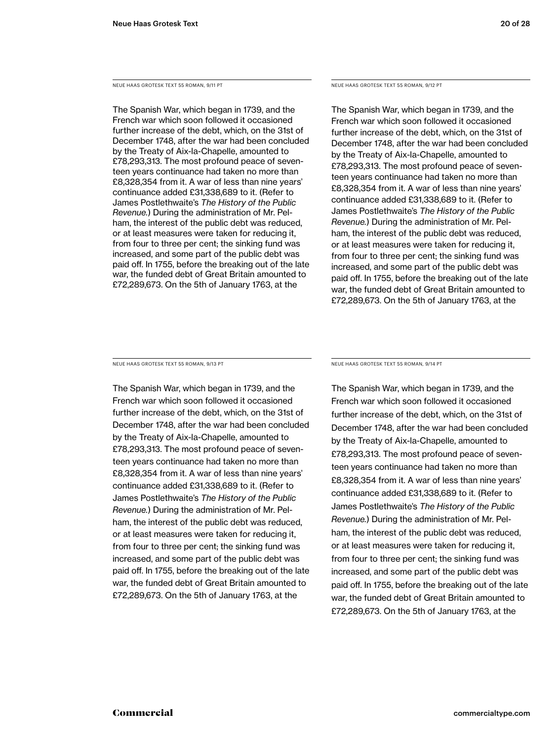NEUE HAAS GROTESK TEXT 55 ROMAN, 9/11 PT

The Spanish War, which began in 1739, and the French war which soon followed it occasioned further increase of the debt, which, on the 31st of December 1748, after the war had been concluded by the Treaty of Aix-la-Chapelle, amounted to £78,293,313. The most profound peace of seventeen years continuance had taken no more than £8,328,354 from it. A war of less than nine years' continuance added £31,338,689 to it. (Refer to James Postlethwaite's *The History of the Public Revenue.*) During the administration of Mr. Pelham, the interest of the public debt was reduced, or at least measures were taken for reducing it, from four to three per cent; the sinking fund was increased, and some part of the public debt was paid off. In 1755, before the breaking out of the late war, the funded debt of Great Britain amounted to £72,289,673. On the 5th of January 1763, at the

NEUE HAAS GROTESK TEXT 55 ROMAN, 9/12 PT

The Spanish War, which began in 1739, and the French war which soon followed it occasioned further increase of the debt, which, on the 31st of December 1748, after the war had been concluded by the Treaty of Aix-la-Chapelle, amounted to £78,293,313. The most profound peace of seventeen years continuance had taken no more than £8,328,354 from it. A war of less than nine years' continuance added £31,338,689 to it. (Refer to James Postlethwaite's *The History of the Public Revenue.*) During the administration of Mr. Pelham, the interest of the public debt was reduced, or at least measures were taken for reducing it, from four to three per cent; the sinking fund was increased, and some part of the public debt was paid off. In 1755, before the breaking out of the late war, the funded debt of Great Britain amounted to £72,289,673. On the 5th of January 1763, at the

NEUE HAAS GROTESK TEXT 55 ROMAN, 9/13 PT

The Spanish War, which began in 1739, and the French war which soon followed it occasioned further increase of the debt, which, on the 31st of December 1748, after the war had been concluded by the Treaty of Aix-la-Chapelle, amounted to £78,293,313. The most profound peace of seventeen years continuance had taken no more than £8,328,354 from it. A war of less than nine years' continuance added £31,338,689 to it. (Refer to James Postlethwaite's *The History of the Public Revenue.*) During the administration of Mr. Pelham, the interest of the public debt was reduced, or at least measures were taken for reducing it, from four to three per cent; the sinking fund was increased, and some part of the public debt was paid off. In 1755, before the breaking out of the late war, the funded debt of Great Britain amounted to £72,289,673. On the 5th of January 1763, at the

NEUE HAAS GROTESK TEXT 55 ROMAN, 9/14 PT

The Spanish War, which began in 1739, and the French war which soon followed it occasioned further increase of the debt, which, on the 31st of December 1748, after the war had been concluded by the Treaty of Aix-la-Chapelle, amounted to £78,293,313. The most profound peace of seventeen years continuance had taken no more than £8,328,354 from it. A war of less than nine years' continuance added £31,338,689 to it. (Refer to James Postlethwaite's *The History of the Public Revenue.*) During the administration of Mr. Pelham, the interest of the public debt was reduced, or at least measures were taken for reducing it, from four to three per cent; the sinking fund was increased, and some part of the public debt was paid off. In 1755, before the breaking out of the late war, the funded debt of Great Britain amounted to £72,289,673. On the 5th of January 1763, at the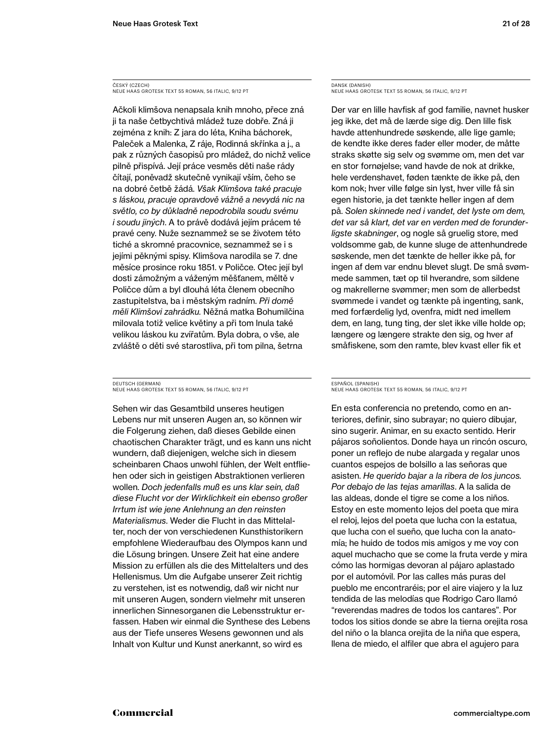ČESKÝ (CZECH) NEUE HAAS GROTESK TEXT 55 ROMAN, 56 ITALIC, 9/12 PT

Ačkoli klimšova nenapsala knih mnoho, přece zná ji ta naše četbychtivá mládež tuze dobře. Zná ji zejména z knih: Z jara do léta, Kniha báchorek, Paleček a Malenka, Z ráje, Rodinná skřínka a j., a pak z různých časopisů pro mládež, do nichž velice pilně přispívá. Její práce vesměs děti naše rády čítají, poněvadž skutečně vynikají vším, čeho se na dobré četbě žádá. *Však Klimšova také pracuje s láskou, pracuje opravdově vážně a nevydá nic na světlo, co by důkladně nepodrobila soudu svému i soudu jiných*. A to právě dodává jejím prácem té pravé ceny. Nuže seznammež se se životem této tiché a skromné pracovnice, seznammež se i s jejími pěknými spisy. Klimšova narodila se 7. dne měsíce prosince roku 1851. v Poličce. Otec její byl dosti zámožným a váženým měšťanem, měltě v Poličce dům a byl dlouhá léta členem obecního zastupitelstva, ba i městským radním. *Při domě měli Klimšovi zahrádku.* Něžná matka Bohumilčina milovala totiž velice květiny a při tom lnula také velikou láskou ku zvířatům. Byla dobra, o vše, ale zvláště o děti své starostliva, při tom pilna, šetrna

DEUTSCH (GERMAN) NEUE HAAS GROTESK TEXT 55 ROMAN, 56 ITALIC, 9/12 PT

Sehen wir das Gesamtbild unseres heutigen Lebens nur mit unseren Augen an, so können wir die Folgerung ziehen, daß dieses Gebilde einen chaotischen Charakter trägt, und es kann uns nicht wundern, daß diejenigen, welche sich in diesem scheinbaren Chaos unwohl fühlen, der Welt entfliehen oder sich in geistigen Abstraktionen verlieren wollen. *Doch jedenfalls muß es uns klar sein, daß diese Flucht vor der Wirklichkeit ein ebenso großer Irrtum ist wie jene Anlehnung an den reinsten Materialismus*. Weder die Flucht in das Mittelalter, noch der von verschiedenen Kunsthistorikern empfohlene Wiederaufbau des Olympos kann und die Lösung bringen. Unsere Zeit hat eine andere Mission zu erfüllen als die des Mittelalters und des Hellenismus. Um die Aufgabe unserer Zeit richtig zu verstehen, ist es notwendig, daß wir nicht nur mit unseren Augen, sondern vielmehr mit unseren innerlichen Sinnesorganen die Lebensstruktur erfassen. Haben wir einmal die Synthese des Lebens aus der Tiefe unseres Wesens gewonnen und als Inhalt von Kultur und Kunst anerkannt, so wird es

DANSK (DANISH) NEUE HAAS GROTESK TEXT 55 ROMAN, 56 ITALIC, 9/12 PT

Der var en lille havfisk af god familie, navnet husker jeg ikke, det må de lærde sige dig. Den lille fisk havde attenhundrede søskende, alle lige gamle; de kendte ikke deres fader eller moder, de måtte straks skøtte sig selv og svømme om, men det var en stor fornøjelse; vand havde de nok at drikke, hele verdenshavet, føden tænkte de ikke på, den kom nok; hver ville følge sin lyst, hver ville få sin egen historie, ja det tænkte heller ingen af dem på. *Solen skinnede ned i vandet, det lyste om dem, det var så klart, det var en verden med de forunderligste skabninger*, og nogle så gruelig store, med voldsomme gab, de kunne sluge de attenhundrede søskende, men det tænkte de heller ikke på, for ingen af dem var endnu blevet slugt. De små svømmede sammen, tæt op til hverandre, som sildene og makrellerne svømmer; men som de allerbedst svømmede i vandet og tænkte på ingenting, sank, med forfærdelig lyd, ovenfra, midt ned imellem dem, en lang, tung ting, der slet ikke ville holde op; længere og længere strakte den sig, og hver af småfiskene, som den ramte, blev kvast eller fik et

### ESPAÑOL (SPANISH) NEUE HAAS GROTESK TEXT 55 ROMAN, 56 ITALIC, 9/12 PT

En esta conferencia no pretendo, como en anteriores, definir, sino subrayar; no quiero dibujar, sino sugerir. Animar, en su exacto sentido. Herir pájaros soñolientos. Donde haya un rincón oscuro, poner un reflejo de nube alargada y regalar unos cuantos espejos de bolsillo a las señoras que asisten. *He querido bajar a la ribera de los juncos. Por debajo de las tejas amarillas*. A la salida de las aldeas, donde el tigre se come a los niños. Estoy en este momento lejos del poeta que mira el reloj, lejos del poeta que lucha con la estatua, que lucha con el sueño, que lucha con la anatomía; he huido de todos mis amigos y me voy con aquel muchacho que se come la fruta verde y mira cómo las hormigas devoran al pájaro aplastado por el automóvil. Por las calles más puras del pueblo me encontraréis; por el aire viajero y la luz tendida de las melodías que Rodrigo Caro llamó "reverendas madres de todos los cantares". Por todos los sitios donde se abre la tierna orejita rosa del niño o la blanca orejita de la niña que espera, llena de miedo, el alfiler que abra el agujero para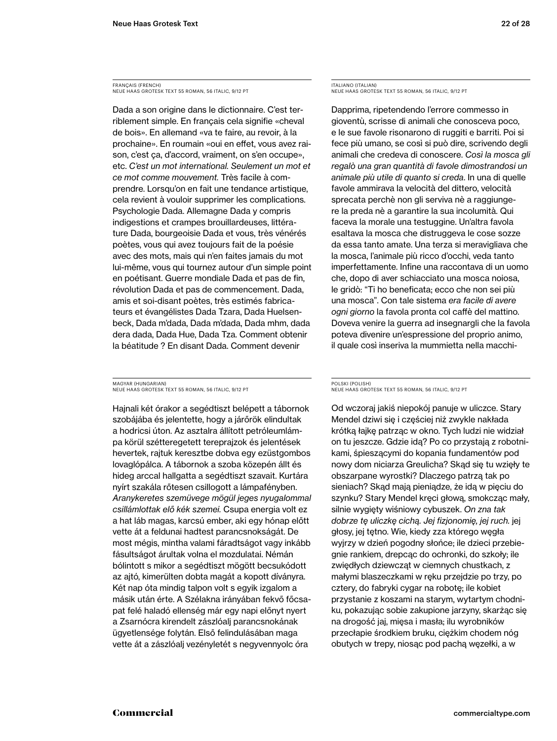FRANÇAIS (FRENCH) NEUE HAAS GROTESK TEXT 55 ROMAN, 56 ITALIC, 9/12 PT

Dada a son origine dans le dictionnaire. C'est terriblement simple. En français cela signifie «cheval de bois». En allemand «va te faire, au revoir, à la prochaine». En roumain «oui en effet, vous avez raison, c'est ça, d'accord, vraiment, on s'en occupe», etc. *C'est un mot international. Seulement un mot et ce mot comme mouvement.* Très facile à comprendre. Lorsqu'on en fait une tendance artistique, cela revient à vouloir supprimer les complications. Psychologie Dada. Allemagne Dada y compris indigestions et crampes brouillardeuses, littérature Dada, bourgeoisie Dada et vous, très vénérés poètes, vous qui avez toujours fait de la poésie avec des mots, mais qui n'en faites jamais du mot lui-même, vous qui tournez autour d'un simple point en poétisant. Guerre mondiale Dada et pas de fin, révolution Dada et pas de commencement. Dada, amis et soi-disant poètes, très estimés fabricateurs et évangélistes Dada Tzara, Dada Huelsenbeck, Dada m'dada, Dada m'dada, Dada mhm, dada dera dada, Dada Hue, Dada Tza. Comment obtenir la béatitude ? En disant Dada. Comment devenir

MAGYAR (HUNGARIAN) NEUE HAAS GROTESK TEXT 55 ROMAN, 56 ITALIC, 9/12 PT

Hajnali két órakor a segédtiszt belépett a tábornok szobájába és jelentette, hogy a járőrök elindultak a hodricsi úton. Az asztalra állított petróleumlámpa körül szétteregetett tereprajzok és jelentések hevertek, rajtuk keresztbe dobva egy ezüstgombos lovaglópálca. A tábornok a szoba közepén állt és hideg arccal hallgatta a segédtiszt szavait. Kurtára nyírt szakála rőtesen csillogott a lámpafényben. *Aranykeretes szemüvege mögül jeges nyugalommal csillámlottak elő kék szemei.* Csupa energia volt ez a hat láb magas, karcsú ember, aki egy hónap előtt vette át a feldunai hadtest parancsnokságát. De most mégis, mintha valami fáradtságot vagy inkább fásultságot árultak volna el mozdulatai. Némán bólintott s mikor a segédtiszt mögött becsukódott az ajtó, kimerülten dobta magát a kopott díványra. Két nap óta mindig talpon volt s egyik izgalom a másik után érte. A Szélakna irányában fekvő főcsapat felé haladó ellenség már egy napi előnyt nyert a Zsarnócra kirendelt zászlóalj parancsnokának ügyetlensége folytán. Első felindulásában maga vette át a zászlóalj vezényletét s negyvennyolc óra

ITALIANO (ITALIAN) NEUE HAAS GROTESK TEXT 55 ROMAN, 56 ITALIC, 9/12 PT

Dapprima, ripetendendo l'errore commesso in gioventù, scrisse di animali che conosceva poco, e le sue favole risonarono di ruggiti e barriti. Poi si fece più umano, se così si può dire, scrivendo degli animali che credeva di conoscere. *Così la mosca gli regalò una gran quantità di favole dimostrandosi un animale più utile di quanto si creda*. In una di quelle favole ammirava la velocità del dittero, velocità sprecata perchè non gli serviva nè a raggiungere la preda nè a garantire la sua incolumità. Qui faceva la morale una testuggine. Un'altra favola esaltava la mosca che distruggeva le cose sozze da essa tanto amate. Una terza si meravigliava che la mosca, l'animale più ricco d'occhi, veda tanto imperfettamente. Infine una raccontava di un uomo che, dopo di aver schiacciato una mosca noiosa, le gridò: "Ti ho beneficata; ecco che non sei più una mosca". Con tale sistema *era facile di avere ogni giorno* la favola pronta col caffè del mattino. Doveva venire la guerra ad insegnargli che la favola poteva divenire un'espressione del proprio animo, il quale così inseriva la mummietta nella macchi-

### POLSKI (POLISH) NEUE HAAS GROTESK TEXT 55 ROMAN, 56 ITALIC, 9/12 PT

Od wczoraj jakiś niepokój panuje w uliczce. Stary Mendel dziwi się i częściej niż zwykle nakłada krótką łajkę patrząc w okno. Tych ludzi nie widział on tu jeszcze. Gdzie idą? Po co przystają z robotnikami, śpieszącymi do kopania fundamentów pod nowy dom niciarza Greulicha? Skąd się tu wzięły te obszarpane wyrostki? Dlaczego patrzą tak po sieniach? Skąd mają pieniądze, że idą w pięciu do szynku? Stary Mendel kręci głową, smokcząc mały, silnie wygięty wiśniowy cybuszek. *On zna tak dobrze tę uliczkę cichą. Jej fizjonomię, jej ruch.* jej głosy, jej tętno. Wie, kiedy zza którego węgła wyjrzy w dzień pogodny słońce; ile dzieci przebiegnie rankiem, drepcąc do ochronki, do szkoły; ile zwiędłych dziewcząt w ciemnych chustkach, z małymi blaszeczkami w ręku przejdzie po trzy, po cztery, do fabryki cygar na robotę; ile kobiet przystanie z koszami na starym, wytartym chodniku, pokazując sobie zakupione jarzyny, skarżąc się na drogość jaj, mięsa i masła; ilu wyrobników przecłapie środkiem bruku, ciężkim chodem nóg obutych w trepy, niosąc pod pachą węzełki, a w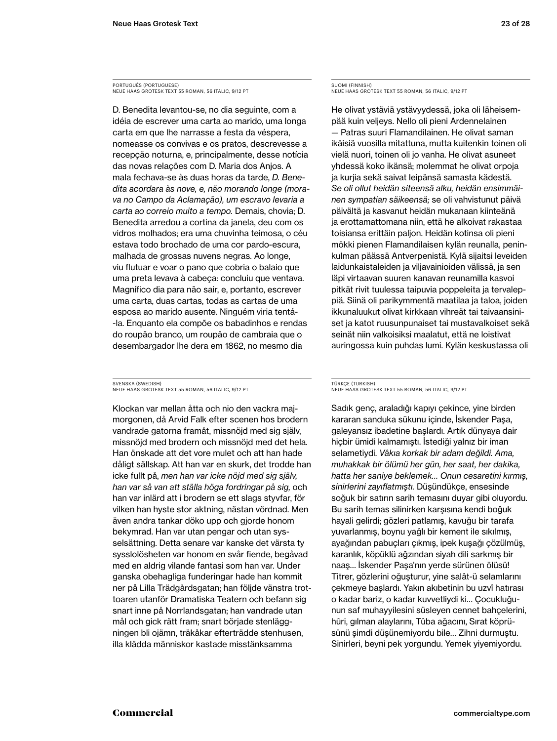PORTUGUÊS (PORTUGUESE) NEUE HAAS GROTESK TEXT 55 ROMAN, 56 ITALIC, 9/12 PT

D. Benedita levantou-se, no dia seguinte, com a idéia de escrever uma carta ao marido, uma longa carta em que lhe narrasse a festa da véspera, nomeasse os convivas e os pratos, descrevesse a recepção noturna, e, principalmente, desse notícia das novas relações com D. Maria dos Anjos. A mala fechava-se às duas horas da tarde, *D. Benedita acordara às nove, e, não morando longe (morava no Campo da Aclamação), um escravo levaria a carta ao correio muito a tempo.* Demais, chovia; D. Benedita arredou a cortina da janela, deu com os vidros molhados; era uma chuvinha teimosa, o céu estava todo brochado de uma cor pardo-escura, malhada de grossas nuvens negras. Ao longe, viu flutuar e voar o pano que cobria o balaio que uma preta levava à cabeça: concluiu que ventava. Magnífico dia para não sair, e, portanto, escrever uma carta, duas cartas, todas as cartas de uma esposa ao marido ausente. Ninguém viria tentá- -la. Enquanto ela compõe os babadinhos e rendas do roupão branco, um roupão de cambraia que o desembargador lhe dera em 1862, no mesmo dia

SVENSKA (SWEDISH) NEUE HAAS GROTESK TEXT 55 ROMAN, 56 ITALIC, 9/12 PT

Klockan var mellan åtta och nio den vackra majmorgonen, då Arvid Falk efter scenen hos brodern vandrade gatorna framåt, missnöjd med sig själv, missnöjd med brodern och missnöjd med det hela. Han önskade att det vore mulet och att han hade dåligt sällskap. Att han var en skurk, det trodde han icke fullt på, *men han var icke nöjd med sig själv, han var så van att ställa höga fordringar på sig,* och han var inlärd att i brodern se ett slags styvfar, för vilken han hyste stor aktning, nästan vördnad. Men även andra tankar döko upp och gjorde honom bekymrad. Han var utan pengar och utan sysselsättning. Detta senare var kanske det värsta ty sysslolösheten var honom en svår fiende, begåvad med en aldrig vilande fantasi som han var. Under ganska obehagliga funderingar hade han kommit ner på Lilla Trädgårdsgatan; han följde vänstra trottoaren utanför Dramatiska Teatern och befann sig snart inne på Norrlandsgatan; han vandrade utan mål och gick rätt fram; snart började stenläggningen bli ojämn, träkåkar efterträdde stenhusen, illa klädda människor kastade misstänksamma

SUOMI (FINNISH) NEUE HAAS GROTESK TEXT 55 ROMAN, 56 ITALIC, 9/12 PT

He olivat ystäviä ystävyydessä, joka oli läheisempää kuin veljeys. Nello oli pieni Ardennelainen — Patras suuri Flamandilainen. He olivat saman ikäisiä vuosilla mitattuna, mutta kuitenkin toinen oli vielä nuori, toinen oli jo vanha. He olivat asuneet yhdessä koko ikänsä; molemmat he olivat orpoja ja kurjia sekä saivat leipänsä samasta kädestä. *Se oli ollut heidän siteensä alku, heidän ensimmäinen sympatian säikeensä;* se oli vahvistunut päivä päivältä ja kasvanut heidän mukanaan kiinteänä ja erottamattomana niin, että he alkoivat rakastaa toisiansa erittäin paljon. Heidän kotinsa oli pieni mökki pienen Flamandilaisen kylän reunalla, peninkulman päässä Antverpenistä. Kylä sijaitsi leveiden laidunkaistaleiden ja viljavainioiden välissä, ja sen läpi virtaavan suuren kanavan reunamilla kasvoi pitkät rivit tuulessa taipuvia poppeleita ja tervaleppiä. Siinä oli parikymmentä maatilaa ja taloa, joiden ikkunaluukut olivat kirkkaan vihreät tai taivaansiniset ja katot ruusunpunaiset tai mustavalkoiset sekä seinät niin valkoisiksi maalatut, että ne loistivat auringossa kuin puhdas lumi. Kylän keskustassa oli

### TÜRKÇE (TURKISH) NEUE HAAS GROTESK TEXT 55 ROMAN, 56 ITALIC, 9/12 PT

Sadık genç, araladığı kapıyı çekince, yine birden kararan sanduka sükunu içinde, İskender Paşa, galeyansız ibadetine başlardı. Artık dünyaya dair hiçbir ümidi kalmamıştı. İstediği yalnız bir iman selametiydi. *Vâkıa korkak bir adam değildi. Ama, muhakkak bir ölümü her gün, her saat, her dakika, hatta her saniye beklemek… Onun cesaretini kırmış, sinirlerini zayıflatmıştı.* Düşündükçe, ensesinde soğuk bir satırın sarih temasını duyar gibi oluyordu. Bu sarih temas silinirken karşısına kendi boğuk hayali gelirdi; gözleri patlamış, kavuğu bir tarafa yuvarlanmış, boynu yağlı bir kement ile sıkılmış, ayağından pabuçları çıkmış, ipek kuşağı çözülmüş, karanlık, köpüklü ağzından siyah dili sarkmış bir naaş… İskender Paşa'nın yerde sürünen ölüsü! Titrer, gözlerini oğuşturur, yine salât-ü selamlarını çekmeye başlardı. Yakın akıbetinin bu uzvî hatırası o kadar bariz, o kadar kuvvetliydi ki… Çocukluğunun saf muhayyilesini süsleyen cennet bahçelerini, hûri, gılman alaylarını, Tûba ağacını, Sırat köprüsünü şimdi düşünemiyordu bile… Zihni durmuştu. Sinirleri, beyni pek yorgundu. Yemek yiyemiyordu.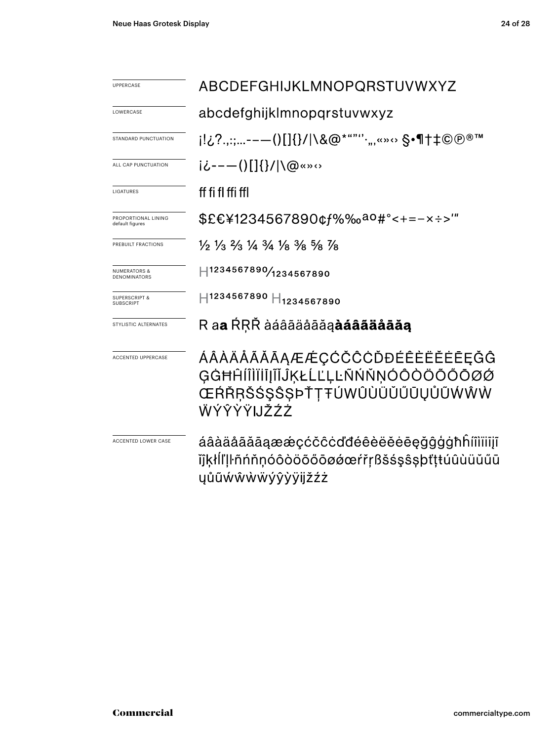| UPPERCASE                                      | ABCDEFGHIJKLMNOPQRSTUVWXYZ                                                                                     |  |  |  |
|------------------------------------------------|----------------------------------------------------------------------------------------------------------------|--|--|--|
| LOWERCASE                                      | abcdefghijklmnopqrstuvwxyz                                                                                     |  |  |  |
| <b>STANDARD PUNCTUATION</b>                    | i!¿?.,:;--—()[]{}/ \&@*""''·",«»↔ §•¶†‡©®®™                                                                    |  |  |  |
| ALL CAP PUNCTUATION                            | i¿----()[]{}/ \@«»↔                                                                                            |  |  |  |
| LIGATURES                                      | ff fi fl ffi ffl                                                                                               |  |  |  |
| PROPORTIONAL LINING<br>default figures         | \$£€¥1234567890¢f%‰ <sup>ao</sup> #°<+=-×÷>'″                                                                  |  |  |  |
| PREBUILT FRACTIONS                             | 1/2 1/3 2/3 1/4 3/4 1/8 3/8 5/8 7/8                                                                            |  |  |  |
| <b>NUMERATORS &amp;</b><br><b>DENOMINATORS</b> | H1234567890/1234567890                                                                                         |  |  |  |
| <b>SUPERSCRIPT &amp;</b><br><b>SUBSCRIPT</b>   | H1234567890 H <sub>1234567890</sub>                                                                            |  |  |  |
| STYLISTIC ALTERNATES                           | R a <b>a</b> ŔŖŘ àáâãäåāăą <b>àáâãäåāăą</b>                                                                    |  |  |  |
| <b>ACCENTED UPPERCASE</b>                      | ÁÂÀÄÅÃĂĀĀĄÆÆÇĆČĈĊĎĐÉÊÈËËĖĒĘĞĜ<br>GĠĦĤĺĨÌĬĬĬĨĨĴĶŁĹĽĻĿÑŃŇŅÓÔŎŎŎŎŌØØ<br>ŒŔŘŖŠŚŞŜŞÞŤŢŦÚWÛÙÜŬŰŪŲŮŨŴŴŴ<br>WÝŶŶŸIJŽŹŻ |  |  |  |
| ACCENTED LOWER CASE                            | áâàäåãããaææçćčĉcďđéêèëĕēeğĝģġħĥíîìiiijĩ<br>ĭĵķłĺľļŀñńňņóôòöõőōøǿœŕřṛßšśşŝşþťţŧúûùüŭűū<br>ŲŮŨŴŴŴŴýŷỳÿijŽŹŻ      |  |  |  |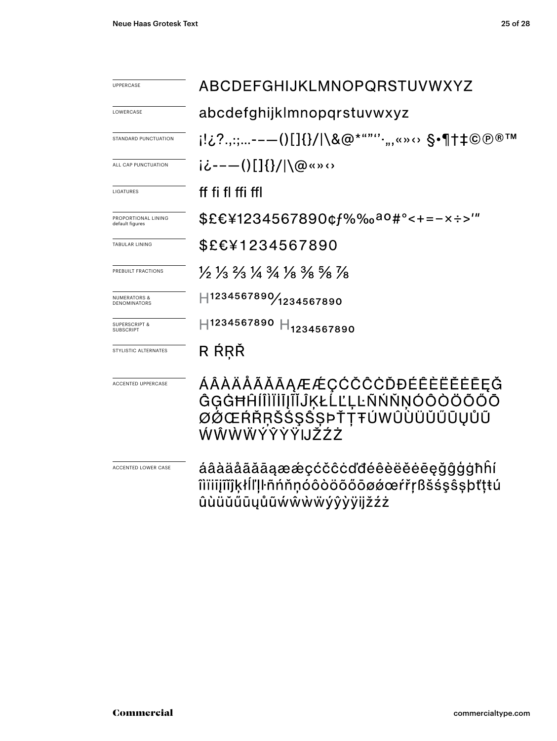| <b>UPPERCASE</b>                               | ABCDEFGHIJKLMNOPQRSTUVWXYZ                                                                                                    |  |  |  |
|------------------------------------------------|-------------------------------------------------------------------------------------------------------------------------------|--|--|--|
| LOWERCASE                                      | abcdefghijklmnopqrstuvwxyz                                                                                                    |  |  |  |
| STANDARD PUNCTUATION                           | i!¿?.,:;--—()[]{}/ \&@*""''·",«»↔ §•¶†‡©®®™                                                                                   |  |  |  |
| ALL CAP PUNCTUATION                            | i¿----()[]{}/ \@«»‹›                                                                                                          |  |  |  |
| LIGATURES                                      | ff fi fl ffi ffl                                                                                                              |  |  |  |
| PROPORTIONAL LINING<br>default figures         | \$£€¥1234567890¢f%‰ <sup>ao</sup> #°<+=-×÷>′″                                                                                 |  |  |  |
| <b>TABULAR LINING</b>                          | \$£€¥1234567890                                                                                                               |  |  |  |
| PREBUILT FRACTIONS                             | $\frac{1}{2}$ $\frac{1}{3}$ $\frac{2}{3}$ $\frac{1}{4}$ $\frac{3}{4}$ $\frac{1}{8}$ $\frac{3}{8}$ $\frac{5}{8}$ $\frac{7}{8}$ |  |  |  |
| <b>NUMERATORS &amp;</b><br><b>DENOMINATORS</b> | H1234567890/1234567890                                                                                                        |  |  |  |
| <b>SUPERSCRIPT &amp;</b><br><b>SUBSCRIPT</b>   | H1234567890 H <sub>1234567890</sub>                                                                                           |  |  |  |
| STYLISTIC ALTERNATES                           | R ŔŖŘ                                                                                                                         |  |  |  |
| <b>ACCENTED UPPERCASE</b>                      | ÁÂÀÄĂÃĂĀĄÆÆÇĆČĈĊĎĐÉÊÈËĔĖĒĘĞ<br>ĜĢĠĦĤĺÎÌĬĬĬĮĨĬĴĶŁĹĽĻĿÑŃŇŅÓÔŎÖŐŐŌ<br>ØØŒŔŘŖŠŚŞŜȘÞŤŢŦÚWÛÙÜŬŰŪŲŮŨ<br>ŴŴŴŴÝŶŸŸIJŽŹŻ                |  |  |  |
| ACCENTED LOWER CASE                            | áâàäåãããaææçćčĉcďđéêèëĕėēęğĝģġħĥí<br>îìïiiįĩĩĵkłĺľḷŀñńňņóôòöõőōøøœŕřŗßšśşŝşþťţŧú<br>ûùüŭűūųůũẃŵẁẅýŷỳÿijžźż                    |  |  |  |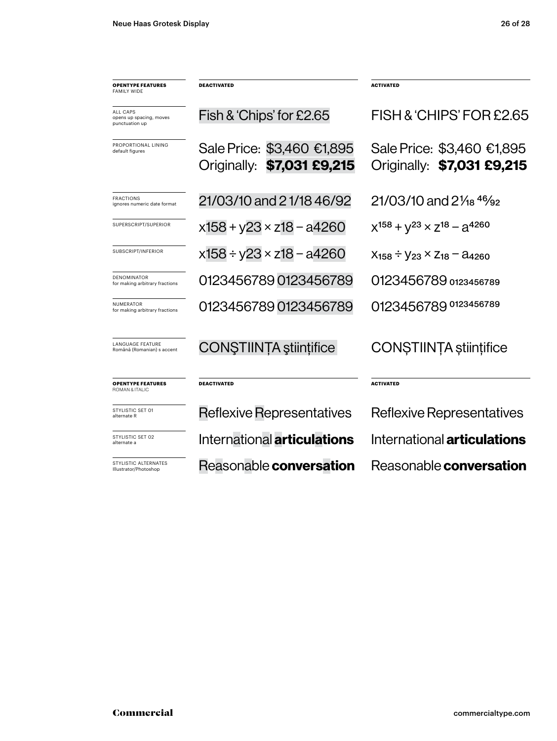| <b>OPENTYPE FEATURES</b><br><b>FAMILY WIDE</b>               | <b>DEACTIVATED</b>                                       | <b>ACTIVATED</b>                                         |  |  |
|--------------------------------------------------------------|----------------------------------------------------------|----------------------------------------------------------|--|--|
| <b>ALL CAPS</b><br>opens up spacing, moves<br>punctuation up | Fish & 'Chips' for £2.65                                 | FISH & 'CHIPS' FOR £2.65                                 |  |  |
| PROPORTIONAL LINING<br>default figures                       | Sale Price: \$3,460 €1,895<br>Originally: \$7,031 £9,215 | Sale Price: \$3,460 €1,895<br>Originally: \$7,031 £9,215 |  |  |
| <b>FRACTIONS</b><br>ignores numeric date format              | 21/03/10 and 21/18 46/92                                 | $21/03/10$ and $2\frac{1}{18}$ $46/92$                   |  |  |
| SUPERSCRIPT/SUPERIOR                                         | $x158 + y23 \times z18 - a4260$                          | $X^{158} + V^{23} \times Z^{18} - Q^{4260}$              |  |  |
| SUBSCRIPT/INFERIOR                                           | $x158 \div y23 \times z18 - a4260$                       | $X_{158} - V_{23} \times Z_{18} - A_{4260}$              |  |  |
| DENOMINATOR<br>for making arbitrary fractions                | 01234567890123456789                                     | 0123456789 0123456789                                    |  |  |
| <b>NUMFRATOR</b><br>for making arbitrary fractions           | 01234567890123456789                                     | 0123456789 0123456789                                    |  |  |
| <b>LANGUAGE FEATURE</b><br>Română (Romanian) s accent        | CONȘTIINȚA științifice                                   | CONSTIINTA stiintifice                                   |  |  |
| <b>OPENTYPE FEATURES</b><br>ROMAN & ITALIC                   | <b>DEACTIVATED</b>                                       | <b>ACTIVATED</b>                                         |  |  |
| STYLISTIC SET 01<br>alternate R                              | <b>Reflexive Representatives</b>                         | Reflexive Representatives                                |  |  |
| STYLISTIC SET 02<br>alternate a                              | International <b>articulations</b>                       | International <b>articulations</b>                       |  |  |
| STYLISTIC ALTERNATES<br>Illustrator/Photoshop                | Reasonable conversation                                  | Reasonable conversation                                  |  |  |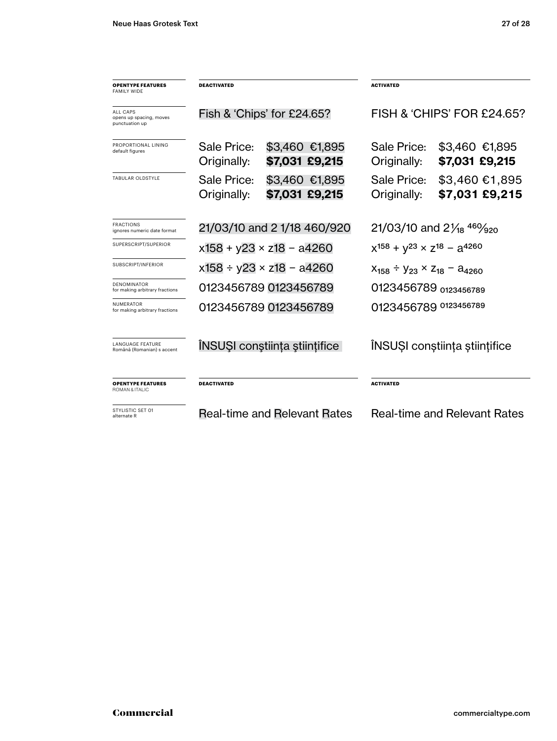| <b>OPENTYPE FEATURES</b><br>FAMILY WIDE               | <b>DEACTIVATED</b>                 |                                     | <b>ACTIVATED</b>                               |                                  |
|-------------------------------------------------------|------------------------------------|-------------------------------------|------------------------------------------------|----------------------------------|
| ALL CAPS<br>opens up spacing, moves<br>punctuation up | Fish & 'Chips' for £24.65?         |                                     | FISH & 'CHIPS' FOR £24.65?                     |                                  |
| PROPORTIONAL LINING<br>default figures                | Sale Price:<br>Originally:         | \$3,460 €1,895<br>\$7,031 £9,215    | Sale Price:<br>Originally:                     | \$3,460 €1,895<br>\$7,031 £9,215 |
| TABULAR OLDSTYLE                                      | Sale Price:<br>Originally:         | \$3,460 €1,895<br>\$7,031 £9,215    | Sale Price:<br>Originally:                     | \$3,460 €1,895<br>\$7,031 £9,215 |
| <b>FRACTIONS</b><br>ignores numeric date format       | 21/03/10 and 2 1/18 460/920        |                                     | 21/03/10 and $2\frac{1}{8}$ 46 $\frac{1}{920}$ |                                  |
| SUPERSCRIPT/SUPERIOR                                  | $x158 + y23 \times z18 - a4260$    |                                     | $x^{158} + y^{23} \times z^{18} - a^{4260}$    |                                  |
| SUBSCRIPT/INFERIOR                                    | $x158 \div y23 \times z18 - a4260$ |                                     | $X_{158} \div Y_{23} \times Z_{18} = 24260$    |                                  |
| DENOMINATOR<br>for making arbitrary fractions         | 0123456789 0123456789              |                                     | 0123456789 0123456789                          |                                  |
| NUMERATOR<br>for making arbitrary fractions           | 0123456789 0123456789              |                                     | 0123456789 0123456789                          |                                  |
| <b>LANGUAGE FEATURE</b><br>Română (Romanian) s accent |                                    | INSUȘI conștiința științifice       | INSUȘI conștiința științifice                  |                                  |
| <b>OPENTYPE FEATURES</b><br>ROMAN & ITALIC            | <b>DEACTIVATED</b>                 |                                     | <b>ACTIVATED</b>                               |                                  |
| STYLISTIC SET 01<br>alternate R                       |                                    | <b>Real-time and Relevant Rates</b> | <b>Real-time and Relevant Rates</b>            |                                  |